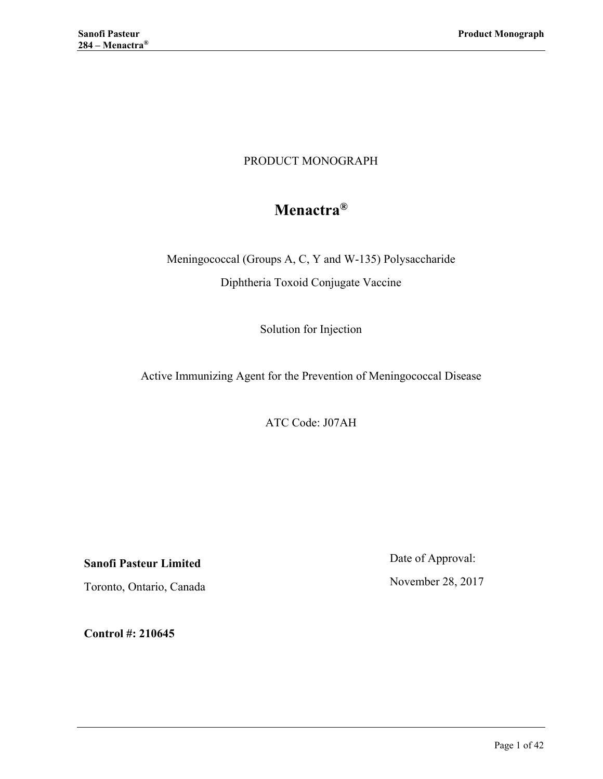# PRODUCT MONOGRAPH

# **Menactra®**

Meningococcal (Groups A, C, Y and W-135) Polysaccharide Diphtheria Toxoid Conjugate Vaccine

Solution for Injection

Active Immunizing Agent for the Prevention of Meningococcal Disease

ATC Code: J07AH

**Sanofi Pasteur Limited**

Toronto, Ontario, Canada

Date of Approval:

November 28, 2017

**Control #: 210645**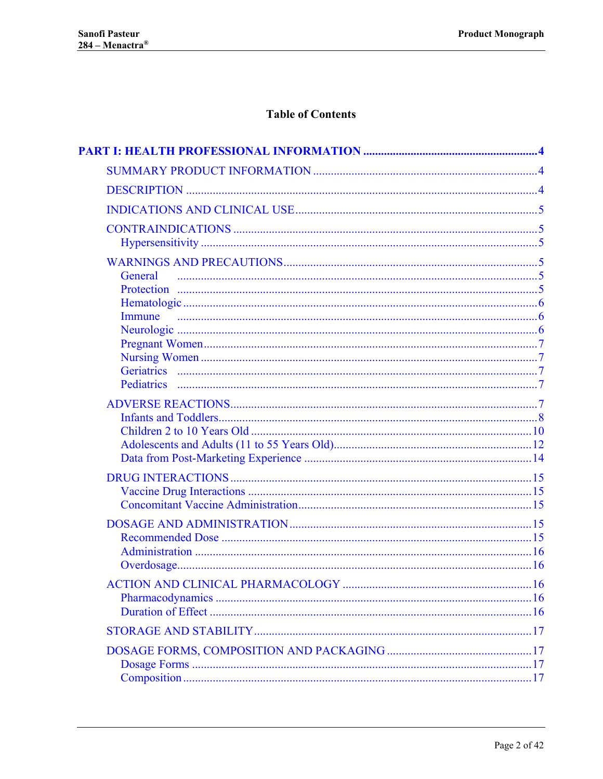# **Table of Contents**

| General |  |
|---------|--|
|         |  |
|         |  |
| Immune  |  |
|         |  |
|         |  |
|         |  |
|         |  |
|         |  |
|         |  |
|         |  |
|         |  |
|         |  |
|         |  |
|         |  |
|         |  |
|         |  |
|         |  |
|         |  |
|         |  |
|         |  |
|         |  |
|         |  |
|         |  |
|         |  |
|         |  |
|         |  |
|         |  |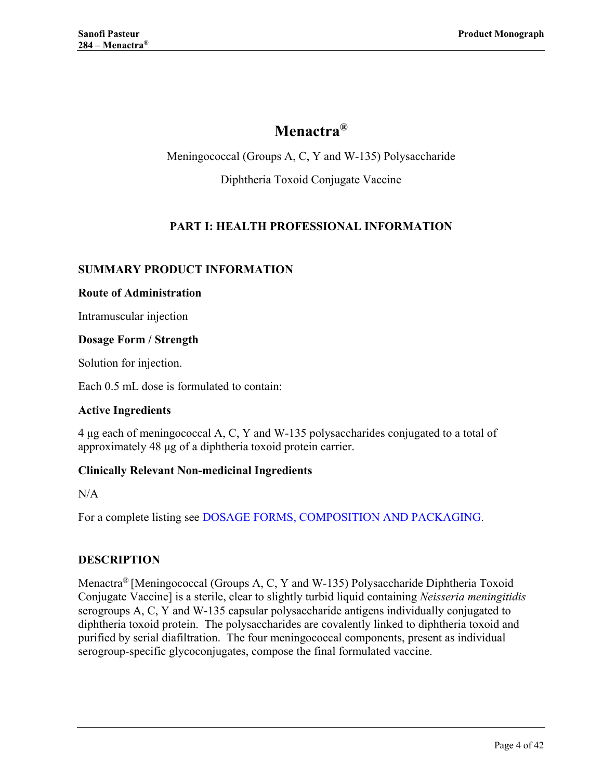# **Menactra®**

Meningococcal (Groups A, C, Y and W-135) Polysaccharide

Diphtheria Toxoid Conjugate Vaccine

# **PART I: HEALTH PROFESSIONAL INFORMATION**

### <span id="page-3-1"></span><span id="page-3-0"></span>**SUMMARY PRODUCT INFORMATION**

#### **Route of Administration**

Intramuscular injection

### **Dosage Form / Strength**

Solution for injection.

Each 0.5 mL dose is formulated to contain:

### **Active Ingredients**

4 μg each of meningococcal A, C, Y and W-135 polysaccharides conjugated to a total of approximately 48 μg of a diphtheria toxoid protein carrier.

### **Clinically Relevant Non-medicinal Ingredients**

 $N/A$ 

For a complete listing see [DOSAGE FORMS, COMPOSITION AND PACKAGING.](#page-16-1)

### <span id="page-3-2"></span>**DESCRIPTION**

Menactra® [Meningococcal (Groups A, C, Y and W-135) Polysaccharide Diphtheria Toxoid Conjugate Vaccine] is a sterile, clear to slightly turbid liquid containing *Neisseria meningitidis* serogroups A, C, Y and W-135 capsular polysaccharide antigens individually conjugated to diphtheria toxoid protein. The polysaccharides are covalently linked to diphtheria toxoid and purified by serial diafiltration. The four meningococcal components, present as individual serogroup-specific glycoconjugates, compose the final formulated vaccine.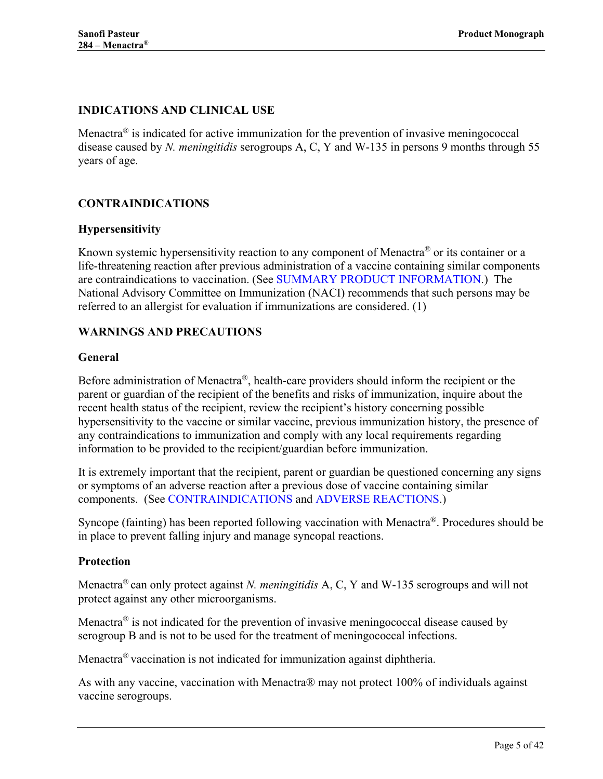# <span id="page-4-0"></span>**INDICATIONS AND CLINICAL USE**

Menactra<sup>®</sup> is indicated for active immunization for the prevention of invasive meningococcal disease caused by *N. meningitidis* serogroups A, C, Y and W-135 in persons 9 months through 55 years of age.

# <span id="page-4-1"></span>**CONTRAINDICATIONS**

### <span id="page-4-2"></span>**Hypersensitivity**

Known systemic hypersensitivity reaction to any component of Menactra<sup>®</sup> or its container or a life-threatening reaction after previous administration of a vaccine containing similar components are contraindications to vaccination. (See [SUMMARY PRODUCT INFORMATION.](#page-3-1)) The National Advisory Committee on Immunization (NACI) recommends that such persons may be referred to an allergist for evaluation if immunizations are considered. [\(1\)](#page-37-1)

### <span id="page-4-3"></span>**WARNINGS AND PRECAUTIONS**

### <span id="page-4-4"></span>**General**

Before administration of Menactra®, health-care providers should inform the recipient or the parent or guardian of the recipient of the benefits and risks of immunization, inquire about the recent health status of the recipient, review the recipient's history concerning possible hypersensitivity to the vaccine or similar vaccine, previous immunization history, the presence of any contraindications to immunization and comply with any local requirements regarding information to be provided to the recipient/guardian before immunization.

It is extremely important that the recipient, parent or guardian be questioned concerning any signs or symptoms of an adverse reaction after a previous dose of vaccine containing similar components. (See [CONTRAINDICATIONS](#page-4-1) and [ADVERSE REACTIONS.](#page-6-4))

Syncope (fainting) has been reported following vaccination with Menactra®. Procedures should be in place to prevent falling injury and manage syncopal reactions.

#### <span id="page-4-5"></span>**Protection**

Menactra® can only protect against *N. meningitidis* A, C, Y and W-135 serogroups and will not protect against any other microorganisms.

Menactra<sup>®</sup> is not indicated for the prevention of invasive meningococcal disease caused by serogroup B and is not to be used for the treatment of meningococcal infections.

Menactra<sup>®</sup> vaccination is not indicated for immunization against diphtheria.

As with any vaccine, vaccination with Menactra® may not protect 100% of individuals against vaccine serogroups.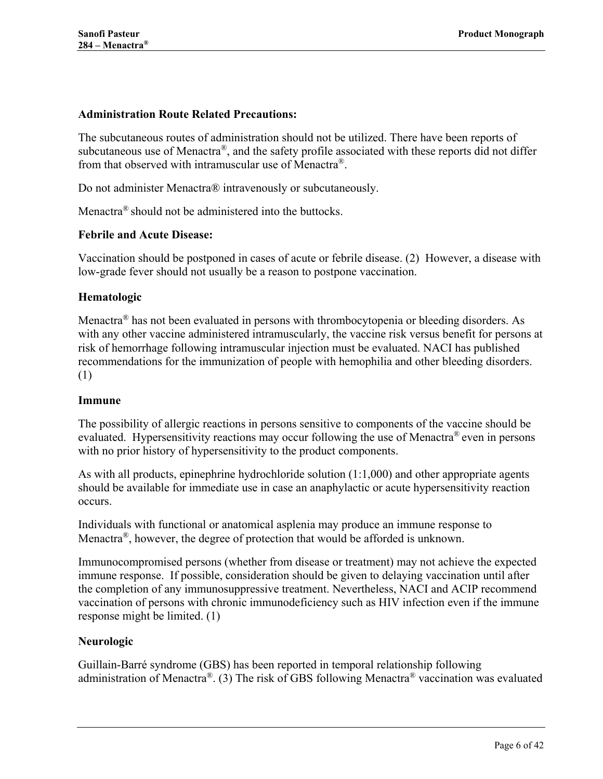### **Administration Route Related Precautions:**

The subcutaneous routes of administration should not be utilized. There have been reports of subcutaneous use of Menactra®, and the safety profile associated with these reports did not differ from that observed with intramuscular use of Menactra®.

Do not administer Menactra® intravenously or subcutaneously.

Menactra® should not be administered into the buttocks.

#### **Febrile and Acute Disease:**

Vaccination should be postponed in cases of acute or febrile disease. [\(2\)](#page-37-2) However, a disease with low-grade fever should not usually be a reason to postpone vaccination.

### <span id="page-5-0"></span>**Hematologic**

Menactra<sup>®</sup> has not been evaluated in persons with thrombocytopenia or bleeding disorders. As with any other vaccine administered intramuscularly, the vaccine risk versus benefit for persons at risk of hemorrhage following intramuscular injection must be evaluated. NACI has published recommendations for the immunization of people with hemophilia and other bleeding disorders. (1)

#### <span id="page-5-1"></span>**Immune**

The possibility of allergic reactions in persons sensitive to components of the vaccine should be evaluated. Hypersensitivity reactions may occur following the use of Menactra<sup>®</sup> even in persons with no prior history of hypersensitivity to the product components.

As with all products, epinephrine hydrochloride solution (1:1,000) and other appropriate agents should be available for immediate use in case an anaphylactic or acute hypersensitivity reaction **occurs** 

Individuals with functional or anatomical asplenia may produce an immune response to Menactra<sup>®</sup>, however, the degree of protection that would be afforded is unknown.

Immunocompromised persons (whether from disease or treatment) may not achieve the expected immune response. If possible, consideration should be given to delaying vaccination until after the completion of any immunosuppressive treatment. Nevertheless, NACI and ACIP recommend vaccination of persons with chronic immunodeficiency such as HIV infection even if the immune response might be limited. [\(1\)](#page-37-1)

#### <span id="page-5-2"></span>**Neurologic**

Guillain-Barré syndrome (GBS) has been reported in temporal relationship following administration of Menactra®. [\(3\)](#page-37-3) The risk of GBS following Menactra® vaccination was evaluated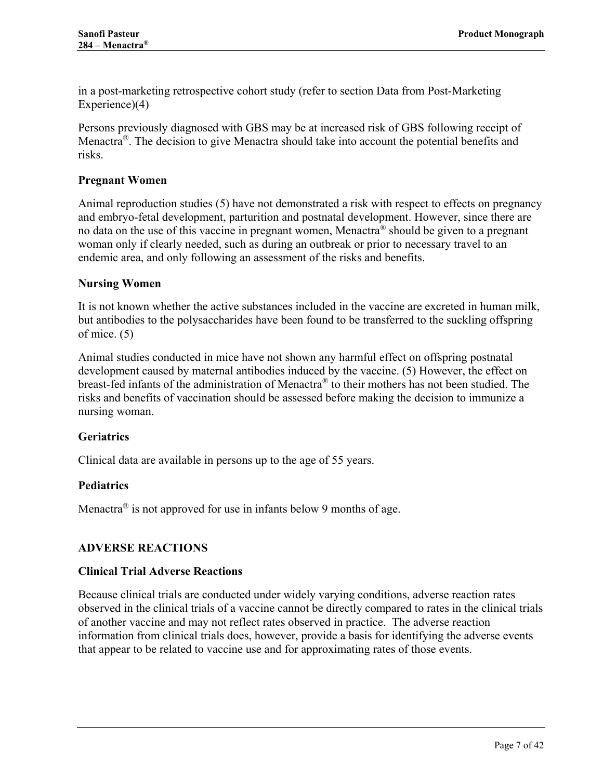in a post-marketing retrospective cohort study (refer to section [Data from Post-Marketing](#page-13-0)  [Experience\)](#page-13-0)[\(4\)](#page-37-4)

Persons previously diagnosed with GBS may be at increased risk of GBS following receipt of Menactra<sup>®</sup>. The decision to give Menactra should take into account the potential benefits and risks.

### <span id="page-6-0"></span>**Pregnant Women**

Animal reproduction studies [\(5\)](#page-37-5) have not demonstrated a risk with respect to effects on pregnancy and embryo-fetal development, parturition and postnatal development. However, since there are no data on the use of this vaccine in pregnant women, Menactra<sup>®</sup> should be given to a pregnant woman only if clearly needed, such as during an outbreak or prior to necessary travel to an endemic area, and only following an assessment of the risks and benefits.

#### <span id="page-6-1"></span>**Nursing Women**

It is not known whether the active substances included in the vaccine are excreted in human milk, but antibodies to the polysaccharides have been found to be transferred to the suckling offspring of mice. [\(5\)](#page-37-5)

Animal studies conducted in mice have not shown any harmful effect on offspring postnatal development caused by maternal antibodies induced by the vaccine. [\(5\)](#page-37-5) However, the effect on breast-fed infants of the administration of Menactra® to their mothers has not been studied. The risks and benefits of vaccination should be assessed before making the decision to immunize a nursing woman.

### <span id="page-6-2"></span>**Geriatrics**

<span id="page-6-3"></span>Clinical data are available in persons up to the age of 55 years.

### **Pediatrics**

Menactra<sup>®</sup> is not approved for use in infants below 9 months of age.

### <span id="page-6-4"></span>**ADVERSE REACTIONS**

#### **Clinical Trial Adverse Reactions**

Because clinical trials are conducted under widely varying conditions, adverse reaction rates observed in the clinical trials of a vaccine cannot be directly compared to rates in the clinical trials of another vaccine and may not reflect rates observed in practice. The adverse reaction information from clinical trials does, however, provide a basis for identifying the adverse events that appear to be related to vaccine use and for approximating rates of those events.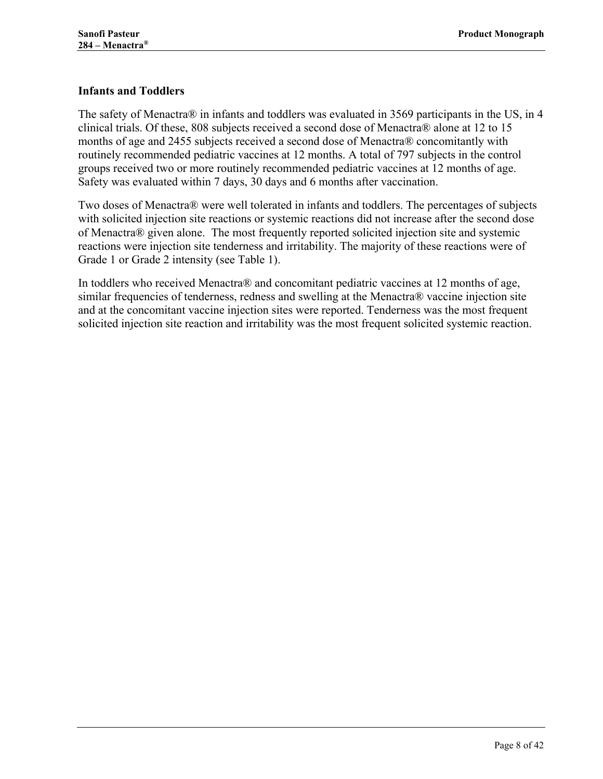### <span id="page-7-0"></span>**Infants and Toddlers**

The safety of Menactra® in infants and toddlers was evaluated in 3569 participants in the US, in 4 clinical trials. Of these, 808 subjects received a second dose of Menactra® alone at 12 to 15 months of age and 2455 subjects received a second dose of Menactra® concomitantly with routinely recommended pediatric vaccines at 12 months. A total of 797 subjects in the control groups received two or more routinely recommended pediatric vaccines at 12 months of age. Safety was evaluated within 7 days, 30 days and 6 months after vaccination.

Two doses of Menactra® were well tolerated in infants and toddlers. The percentages of subjects with solicited injection site reactions or systemic reactions did not increase after the second dose of Menactra® given alone. The most frequently reported solicited injection site and systemic reactions were injection site tenderness and irritability. The majority of these reactions were of Grade 1 or Grade 2 intensity (see [Table 1\)](#page-8-0).

In toddlers who received Menactra® and concomitant pediatric vaccines at 12 months of age, similar frequencies of tenderness, redness and swelling at the Menactra® vaccine injection site and at the concomitant vaccine injection sites were reported. Tenderness was the most frequent solicited injection site reaction and irritability was the most frequent solicited systemic reaction.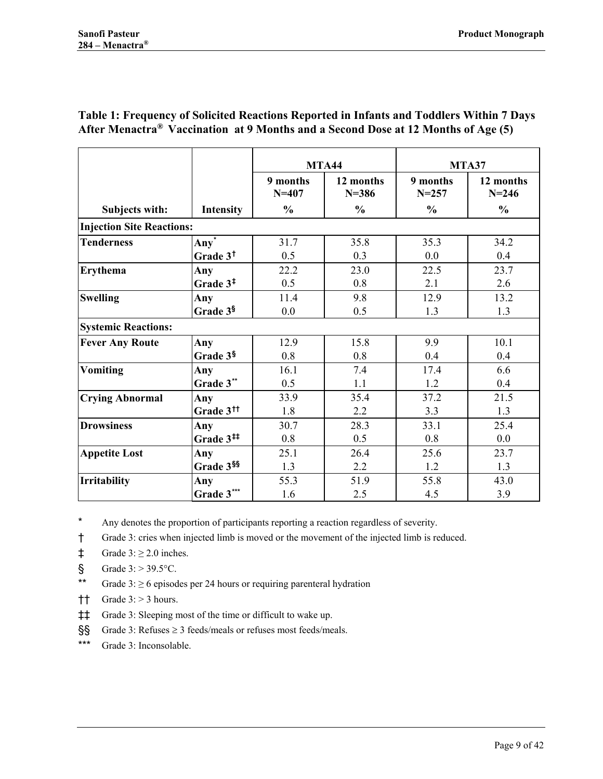|                                  |                              | <b>MTA44</b>          |                        |                       | MTA37                  |
|----------------------------------|------------------------------|-----------------------|------------------------|-----------------------|------------------------|
|                                  |                              | 9 months<br>$N = 407$ | 12 months<br>$N = 386$ | 9 months<br>$N = 257$ | 12 months<br>$N = 246$ |
| Subjects with:                   | <b>Intensity</b>             | $\frac{0}{0}$         | $\frac{0}{0}$          | $\frac{0}{0}$         | $\frac{0}{0}$          |
| <b>Injection Site Reactions:</b> |                              |                       |                        |                       |                        |
| <b>Tenderness</b>                | Any <sup>*</sup>             | 31.7                  | 35.8                   | 35.3                  | 34.2                   |
|                                  | Grade 3 <sup>t</sup>         | 0.5                   | 0.3                    | 0.0                   | 0.4                    |
| Erythema                         | Any                          | 22.2                  | 23.0                   | 22.5                  | 23.7                   |
|                                  | Grade 3 <sup>‡</sup>         | 0.5                   | 0.8                    | 2.1                   | 2.6                    |
| <b>Swelling</b>                  | Any                          | 11.4                  | 9.8                    | 12.9                  | 13.2                   |
|                                  | Grade 3§                     | 0.0                   | 0.5                    | 1.3                   | 1.3                    |
| <b>Systemic Reactions:</b>       |                              |                       |                        |                       |                        |
| <b>Fever Any Route</b>           | Any                          | 12.9                  | 15.8                   | 9.9                   | 10.1                   |
|                                  | Grade 3§                     | 0.8                   | 0.8                    | 0.4                   | 0.4                    |
| <b>Vomiting</b>                  | Any                          | 16.1                  | 7.4                    | 17.4                  | 6.6                    |
|                                  | Grade 3**                    | 0.5                   | 1.1                    | 1.2                   | 0.4                    |
| <b>Crying Abnormal</b>           | Any                          | 33.9                  | 35.4                   | 37.2                  | 21.5                   |
|                                  | Grade 3 <sup>tt</sup>        | 1.8                   | 2.2                    | 3.3                   | 1.3                    |
| <b>Drowsiness</b>                | Any                          | 30.7                  | 28.3                   | 33.1                  | 25.4                   |
|                                  | Grade $3^{\ddagger\ddagger}$ | 0.8                   | 0.5                    | 0.8                   | 0.0                    |
| <b>Appetite Lost</b>             | Any                          | 25.1                  | 26.4                   | 25.6                  | 23.7                   |
|                                  | Grade 3SS                    | 1.3                   | 2.2                    | 1.2                   | 1.3                    |
| <b>Irritability</b>              | Any                          | 55.3                  | 51.9                   | 55.8                  | 43.0                   |
|                                  | Grade 3***                   | 1.6                   | 2.5                    | 4.5                   | 3.9                    |

### <span id="page-8-0"></span>**Table 1: Frequency of Solicited Reactions Reported in Infants and Toddlers Within 7 Days After Menactra® Vaccination at 9 Months and a Second Dose at 12 Months of Age [\(5\)](#page-37-5)**

<span id="page-8-1"></span>\* Any denotes the proportion of participants reporting a reaction regardless of severity.

<span id="page-8-2"></span>† Grade 3: cries when injected limb is moved or the movement of the injected limb is reduced.

<span id="page-8-3"></span> $\ddagger$  Grade 3:  $\geq$  2.0 inches.

<span id="page-8-4"></span> $\text{\$}$  Grade 3: > 39.5 °C.

<span id="page-8-5"></span>\*\* Grade 3: ≥ 6 episodes per 24 hours or requiring parenteral hydration

<span id="page-8-6"></span> $\dagger$  Grade 3: > 3 hours.

<span id="page-8-7"></span>‡‡ Grade 3: Sleeping most of the time or difficult to wake up.

<span id="page-8-8"></span>§§ Grade 3: Refuses ≥ 3 feeds/meals or refuses most feeds/meals.

<span id="page-8-9"></span>\*\*\* Grade 3: Inconsolable.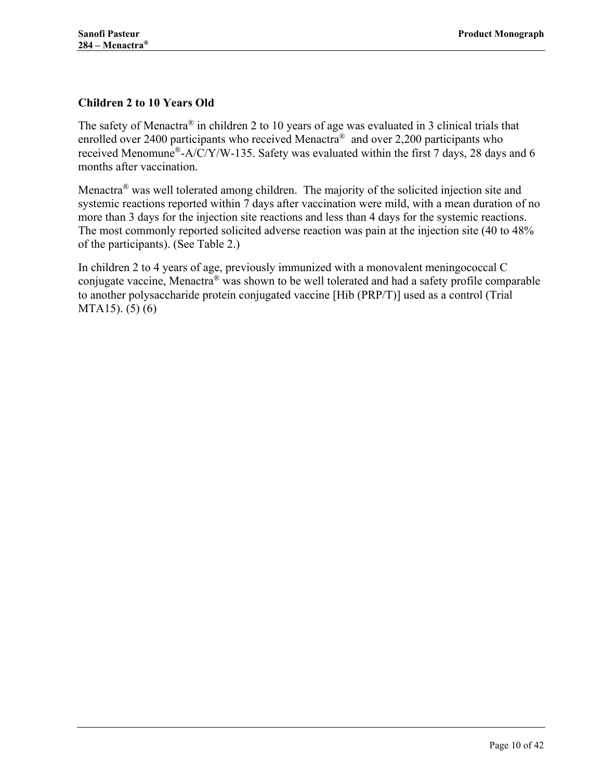# <span id="page-9-0"></span>**Children 2 to 10 Years Old**

The safety of Menactra® in children 2 to 10 years of age was evaluated in 3 clinical trials that enrolled over 2400 participants who received Menactra<sup>®</sup> and over 2,200 participants who received Menomune<sup>®</sup>-A/C/Y/W-135. Safety was evaluated within the first 7 days, 28 days and 6 months after vaccination.

Menactra® was well tolerated among children. The majority of the solicited injection site and systemic reactions reported within 7 days after vaccination were mild, with a mean duration of no more than 3 days for the injection site reactions and less than 4 days for the systemic reactions. The most commonly reported solicited adverse reaction was pain at the injection site (40 to 48% of the participants). (See [Table 2.](#page-10-0))

In children 2 to 4 years of age, previously immunized with a monovalent meningococcal C conjugate vaccine, Menactra® was shown to be well tolerated and had a safety profile comparable to another polysaccharide protein conjugated vaccine [Hib (PRP/T)] used as a control (Trial MTA15). [\(5\)](#page-37-5) [\(6\)](#page-37-6)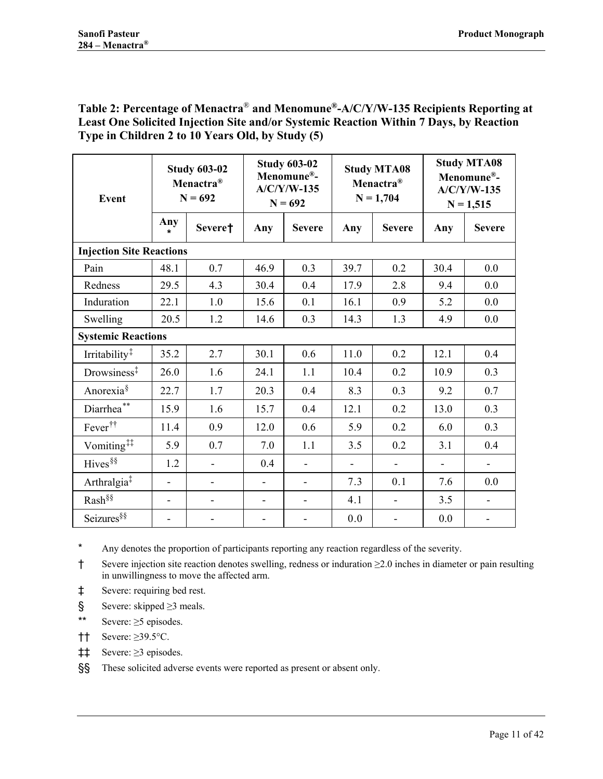### <span id="page-10-0"></span>**Table 2: Percentage of Menactra**® **and Menomune®-A/C/Y/W-135 Recipients Reporting at Least One Solicited Injection Site and/or Systemic Reaction Within 7 Days, by Reaction Type in Children 2 to 10 Years Old, by Study [\(5\)](#page-37-5)**

<span id="page-10-1"></span>

| Event                           | <b>Study 603-02</b><br>Menactra <sup>®</sup><br>$N = 692$ |         | <b>Study 603-02</b><br>Menomune®-<br>$A/C/Y/W-135$<br>$N = 692$ |                          | <b>Study MTA08</b><br>Menactra <sup>®</sup><br>$N = 1,704$ |                          | <b>Study MTA08</b><br>Menomune®-<br>$A/C/Y/W-135$<br>$N = 1,515$ |               |
|---------------------------------|-----------------------------------------------------------|---------|-----------------------------------------------------------------|--------------------------|------------------------------------------------------------|--------------------------|------------------------------------------------------------------|---------------|
|                                 | Any<br>$\star$                                            | Severe† | Any                                                             | <b>Severe</b>            | Any                                                        | <b>Severe</b>            | Any                                                              | <b>Severe</b> |
| <b>Injection Site Reactions</b> |                                                           |         |                                                                 |                          |                                                            |                          |                                                                  |               |
| Pain                            | 48.1                                                      | 0.7     | 46.9                                                            | 0.3                      | 39.7                                                       | 0.2                      | 30.4                                                             | 0.0           |
| Redness                         | 29.5                                                      | 4.3     | 30.4                                                            | 0.4                      | 17.9                                                       | 2.8                      | 9.4                                                              | 0.0           |
| Induration                      | 22.1                                                      | 1.0     | 15.6                                                            | 0.1                      | 16.1                                                       | 0.9                      | 5.2                                                              | 0.0           |
| Swelling                        | 20.5                                                      | 1.2     | 14.6                                                            | 0.3                      | 14.3                                                       | 1.3                      | 4.9                                                              | 0.0           |
| <b>Systemic Reactions</b>       |                                                           |         |                                                                 |                          |                                                            |                          |                                                                  |               |
| Irritability <sup>‡</sup>       | 35.2                                                      | 2.7     | 30.1                                                            | 0.6                      | 11.0                                                       | 0.2                      | 12.1                                                             | 0.4           |
| Drowsiness <sup>‡</sup>         | 26.0                                                      | 1.6     | 24.1                                                            | 1.1                      | 10.4                                                       | 0.2                      | 10.9                                                             | 0.3           |
| Anorexia <sup>§</sup>           | 22.7                                                      | 1.7     | 20.3                                                            | 0.4                      | 8.3                                                        | 0.3                      | 9.2                                                              | 0.7           |
| Diarrhea <sup>**</sup>          | 15.9                                                      | 1.6     | 15.7                                                            | 0.4                      | 12.1                                                       | 0.2                      | 13.0                                                             | 0.3           |
| Fever <sup>††</sup>             | 11.4                                                      | 0.9     | 12.0                                                            | 0.6                      | 5.9                                                        | 0.2                      | 6.0                                                              | 0.3           |
| Vomiting <sup>##</sup>          | 5.9                                                       | 0.7     | 7.0                                                             | 1.1                      | 3.5                                                        | 0.2                      | 3.1                                                              | 0.4           |
| Hives <sup>§§</sup>             | 1.2                                                       |         | 0.4                                                             | $\blacksquare$           | $\blacksquare$                                             | $\blacksquare$           | $\blacksquare$                                                   | $\frac{1}{2}$ |
| Arthralgia <sup>‡</sup>         | $\qquad \qquad \blacksquare$                              |         | $\overline{\phantom{a}}$                                        |                          | 7.3                                                        | 0.1                      | 7.6                                                              | 0.0           |
| Rash <sup>§§</sup>              | $\blacksquare$                                            |         | $\overline{\phantom{a}}$                                        | $\overline{\phantom{0}}$ | 4.1                                                        | $\overline{\phantom{a}}$ | 3.5                                                              | $\frac{1}{2}$ |
| Seizures <sup>§§</sup>          |                                                           |         |                                                                 |                          | 0.0                                                        |                          | 0.0                                                              |               |

<span id="page-10-11"></span><span id="page-10-3"></span><span id="page-10-2"></span>\* Any denotes the proportion of participants reporting any reaction regardless of the severity.

<span id="page-10-4"></span>† Severe injection site reaction denotes swelling, redness or induration ≥2.0 inches in diameter or pain resulting in unwillingness to move the affected arm.

<span id="page-10-5"></span>‡ Severe: requiring bed rest.

- <span id="page-10-6"></span>§ Severe: skipped ≥3 meals.
- <span id="page-10-7"></span>\*\* Severe: ≥5 episodes.
- <span id="page-10-8"></span>†† Severe: ≥39.5°C.
- <span id="page-10-9"></span>‡‡ Severe: ≥3 episodes.

<span id="page-10-10"></span>§§ These solicited adverse events were reported as present or absent only.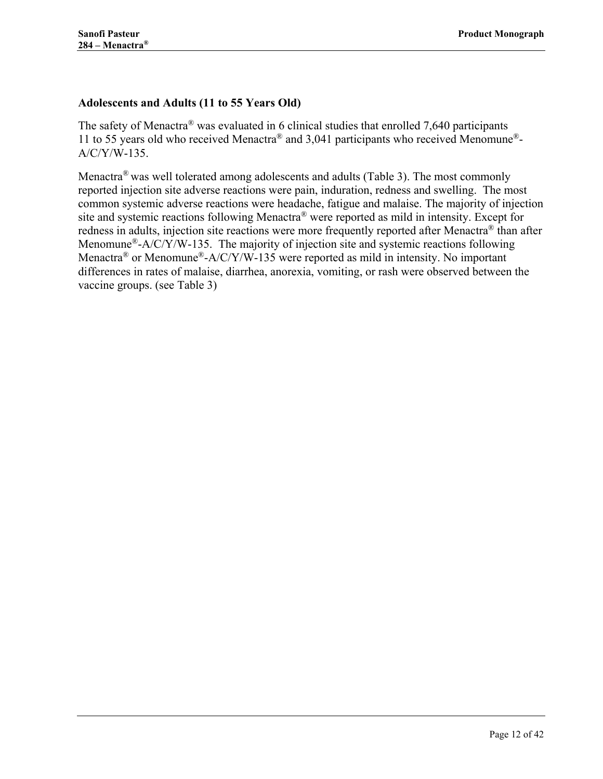# <span id="page-11-0"></span>**Adolescents and Adults (11 to 55 Years Old)**

The safety of Menactra<sup>®</sup> was evaluated in 6 clinical studies that enrolled 7,640 participants 11 to 55 years old who received Menactra® and 3,041 participants who received Menomune®- A/C/Y/W-135.

Menactra<sup>®</sup> was well tolerated among adolescents and adults [\(Table 3\)](#page-12-0). The most commonly reported injection site adverse reactions were pain, induration, redness and swelling. The most common systemic adverse reactions were headache, fatigue and malaise. The majority of injection site and systemic reactions following Menactra® were reported as mild in intensity. Except for redness in adults, injection site reactions were more frequently reported after Menactra<sup>®</sup> than after Menomune<sup>®</sup>-A/C/Y/W-135. The majority of injection site and systemic reactions following Menactra<sup>®</sup> or Menomune<sup>®</sup>-A/C/Y/W-135 were reported as mild in intensity. No important differences in rates of malaise, diarrhea, anorexia, vomiting, or rash were observed between the vaccine groups. (see [Table 3\)](#page-12-0)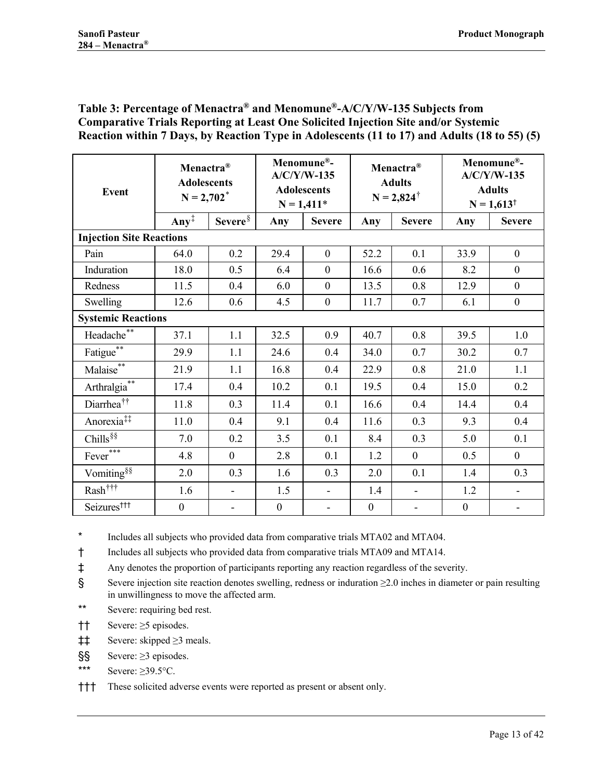### <span id="page-12-0"></span>**Table 3: Percentage of Menactra® and Menomune®-A/C/Y/W-135 Subjects from Comparative Trials Reporting at Least One Solicited Injection Site and/or Systemic Reaction within 7 Days, by Reaction Type in Adolescents (11 to 17) and Adults (18 to 55) (5)**

<span id="page-12-3"></span><span id="page-12-2"></span><span id="page-12-1"></span>

| <b>Event</b>                            | Menactra <sup>®</sup><br><b>Adolescents</b><br>$N = 2,702^*$ |                     | Menomune®-<br>$A/C/Y/W-135$<br><b>Adolescents</b><br>$N = 1,411*$ |                  | Menactra <sup>®</sup><br><b>Adults</b><br>$N = 2,824^{\dagger}$ |                          | Menomune®-<br>$A/C/Y/W-135$<br><b>Adults</b><br>$N = 1,613^{\dagger}$ |                          |
|-----------------------------------------|--------------------------------------------------------------|---------------------|-------------------------------------------------------------------|------------------|-----------------------------------------------------------------|--------------------------|-----------------------------------------------------------------------|--------------------------|
|                                         | Any <sup><math>\ddagger</math></sup>                         | Severe <sup>§</sup> | Any                                                               | <b>Severe</b>    | Any                                                             | <b>Severe</b>            | Any                                                                   | <b>Severe</b>            |
| <b>Injection Site Reactions</b>         |                                                              |                     |                                                                   |                  |                                                                 |                          |                                                                       |                          |
| Pain                                    | 64.0                                                         | 0.2                 | 29.4                                                              | $\boldsymbol{0}$ | 52.2                                                            | 0.1                      | 33.9                                                                  | $\boldsymbol{0}$         |
| Induration                              | 18.0                                                         | 0.5                 | 6.4                                                               | $\boldsymbol{0}$ | 16.6                                                            | 0.6                      | 8.2                                                                   | $\boldsymbol{0}$         |
| Redness                                 | 11.5                                                         | 0.4                 | 6.0                                                               | $\boldsymbol{0}$ | 13.5                                                            | 0.8                      | 12.9                                                                  | $\boldsymbol{0}$         |
| Swelling                                | 12.6                                                         | 0.6                 | 4.5                                                               | $\boldsymbol{0}$ | 11.7                                                            | 0.7                      | 6.1                                                                   | $\boldsymbol{0}$         |
| <b>Systemic Reactions</b>               |                                                              |                     |                                                                   |                  |                                                                 |                          |                                                                       |                          |
| Headache**                              | 37.1                                                         | 1.1                 | 32.5                                                              | 0.9              | 40.7                                                            | 0.8                      | 39.5                                                                  | 1.0                      |
| Fatigue <sup>**</sup>                   | 29.9                                                         | 1.1                 | 24.6                                                              | 0.4              | 34.0                                                            | 0.7                      | 30.2                                                                  | 0.7                      |
| Malaise**                               | 21.9                                                         | 1.1                 | 16.8                                                              | 0.4              | 22.9                                                            | 0.8                      | 21.0                                                                  | 1.1                      |
| Arthralgia <sup>**</sup>                | 17.4                                                         | 0.4                 | 10.2                                                              | 0.1              | 19.5                                                            | 0.4                      | 15.0                                                                  | 0.2                      |
| Diarrhea <sup>††</sup>                  | 11.8                                                         | 0.3                 | 11.4                                                              | 0.1              | 16.6                                                            | 0.4                      | 14.4                                                                  | 0.4                      |
| Anorexia <sup>‡‡</sup>                  | 11.0                                                         | 0.4                 | 9.1                                                               | 0.4              | 11.6                                                            | 0.3                      | 9.3                                                                   | 0.4                      |
| Chills <sup>§§</sup>                    | 7.0                                                          | 0.2                 | 3.5                                                               | 0.1              | 8.4                                                             | 0.3                      | 5.0                                                                   | 0.1                      |
| $Fever***$                              | 4.8                                                          | $\overline{0}$      | 2.8                                                               | 0.1              | 1.2                                                             | $\overline{0}$           | 0.5                                                                   | $\mathbf{0}$             |
| Vomiting <sup>§§</sup>                  | 2.0                                                          | 0.3                 | 1.6                                                               | 0.3              | 2.0                                                             | 0.1                      | 1.4                                                                   | 0.3                      |
| $\mathrm{Rash}^{\dagger\dagger\dagger}$ | 1.6                                                          | ÷,                  | 1.5                                                               | $\blacksquare$   | 1.4                                                             | $\blacksquare$           | 1.2                                                                   | $\blacksquare$           |
| Seizures <sup>†††</sup>                 | $\boldsymbol{0}$                                             | ÷                   | $\boldsymbol{0}$                                                  | $\blacksquare$   | $\boldsymbol{0}$                                                | $\overline{\phantom{0}}$ | $\boldsymbol{0}$                                                      | $\overline{\phantom{a}}$ |

<span id="page-12-6"></span><span id="page-12-5"></span><span id="page-12-4"></span>\* Includes all subjects who provided data from comparative trials MTA02 and MTA04.

<span id="page-12-7"></span>† Includes all subjects who provided data from comparative trials MTA09 and MTA14.

<span id="page-12-8"></span>‡ Any denotes the proportion of participants reporting any reaction regardless of the severity.

<span id="page-12-9"></span>§ Severe injection site reaction denotes swelling, redness or induration ≥2.0 inches in diameter or pain resulting in unwillingness to move the affected arm.

- <span id="page-12-10"></span>\*\* Severe: requiring bed rest.
- <span id="page-12-11"></span>†† Severe: ≥5 episodes.
- <span id="page-12-12"></span>‡‡ Severe: skipped ≥3 meals.
- <span id="page-12-13"></span>§§ Severe: ≥3 episodes.
- <span id="page-12-14"></span>\*\*\* Severe:  $\geq$ 39.5°C.

<span id="page-12-15"></span>††† These solicited adverse events were reported as present or absent only.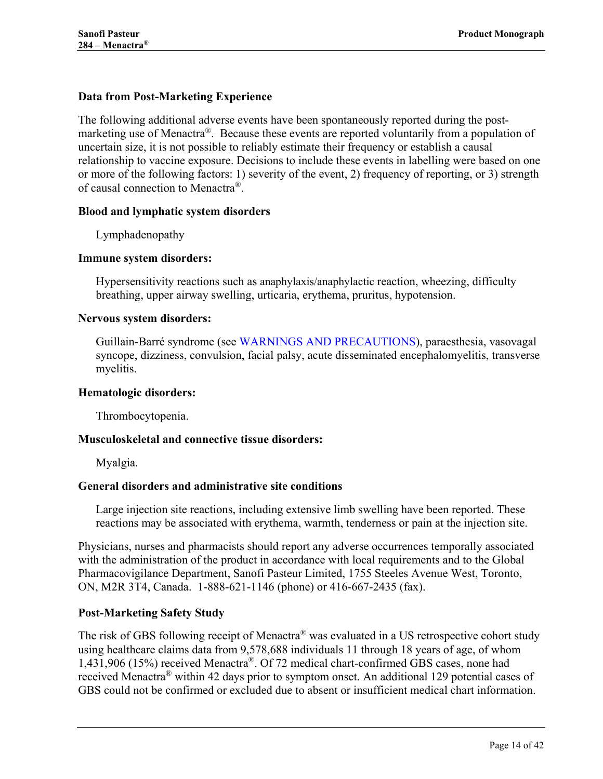### <span id="page-13-0"></span>**Data from Post-Marketing Experience**

The following additional adverse events have been spontaneously reported during the postmarketing use of Menactra<sup>®</sup>. Because these events are reported voluntarily from a population of uncertain size, it is not possible to reliably estimate their frequency or establish a causal relationship to vaccine exposure. Decisions to include these events in labelling were based on one or more of the following factors: 1) severity of the event, 2) frequency of reporting, or 3) strength of causal connection to Menactra®.

#### **Blood and lymphatic system disorders**

Lymphadenopathy

#### **Immune system disorders:**

Hypersensitivity reactions such as anaphylaxis/anaphylactic reaction, wheezing, difficulty breathing, upper airway swelling, urticaria, erythema, pruritus, hypotension.

#### **Nervous system disorders:**

Guillain-Barré syndrome (see [WARNINGS AND PRECAUTIONS\)](#page-4-3), paraesthesia, vasovagal syncope, dizziness, convulsion, facial palsy, acute disseminated encephalomyelitis, transverse myelitis.

#### **Hematologic disorders:**

Thrombocytopenia.

#### **Musculoskeletal and connective tissue disorders:**

Myalgia.

#### **General disorders and administrative site conditions**

Large injection site reactions, including extensive limb swelling have been reported. These reactions may be associated with erythema, warmth, tenderness or pain at the injection site.

Physicians, nurses and pharmacists should report any adverse occurrences temporally associated with the administration of the product in accordance with local requirements and to the Global Pharmacovigilance Department, Sanofi Pasteur Limited, 1755 Steeles Avenue West, Toronto, ON, M2R 3T4, Canada. 1-888-621-1146 (phone) or 416-667-2435 (fax).

#### **Post-Marketing Safety Study**

The risk of GBS following receipt of Menactra® was evaluated in a US retrospective cohort study using healthcare claims data from 9,578,688 individuals 11 through 18 years of age, of whom 1,431,906 (15%) received Menactra®. Of 72 medical chart-confirmed GBS cases, none had received Menactra® within 42 days prior to symptom onset. An additional 129 potential cases of GBS could not be confirmed or excluded due to absent or insufficient medical chart information.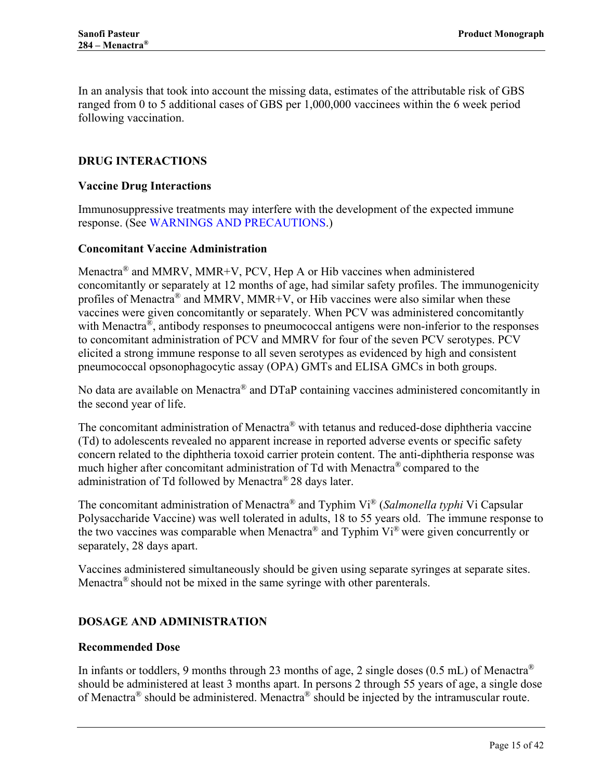In an analysis that took into account the missing data, estimates of the attributable risk of GBS ranged from 0 to 5 additional cases of GBS per 1,000,000 vaccinees within the 6 week period following vaccination.

### <span id="page-14-0"></span>**DRUG INTERACTIONS**

#### <span id="page-14-1"></span>**Vaccine Drug Interactions**

Immunosuppressive treatments may interfere with the development of the expected immune response. (See [WARNINGS AND PRECAUTIONS.](#page-4-3))

#### <span id="page-14-2"></span>**Concomitant Vaccine Administration**

Menactra<sup>®</sup> and MMRV, MMR+V, PCV, Hep A or Hib vaccines when administered concomitantly or separately at 12 months of age, had similar safety profiles. The immunogenicity profiles of Menactra® and MMRV, MMR+V, or Hib vaccines were also similar when these vaccines were given concomitantly or separately. When PCV was administered concomitantly with Menactra<sup>®</sup>, antibody responses to pneumococcal antigens were non-inferior to the responses to concomitant administration of PCV and MMRV for four of the seven PCV serotypes. PCV elicited a strong immune response to all seven serotypes as evidenced by high and consistent pneumococcal opsonophagocytic assay (OPA) GMTs and ELISA GMCs in both groups.

No data are available on Menactra® and DTaP containing vaccines administered concomitantly in the second year of life.

The concomitant administration of Menactra® with tetanus and reduced-dose diphtheria vaccine (Td) to adolescents revealed no apparent increase in reported adverse events or specific safety concern related to the diphtheria toxoid carrier protein content. The anti-diphtheria response was much higher after concomitant administration of Td with Menactra® compared to the administration of Td followed by Menactra® 28 days later.

The concomitant administration of Menactra® and Typhim Vi® (*Salmonella typhi* Vi Capsular Polysaccharide Vaccine) was well tolerated in adults, 18 to 55 years old. The immune response to the two vaccines was comparable when Menactra® and Typhim Vi® were given concurrently or separately, 28 days apart.

Vaccines administered simultaneously should be given using separate syringes at separate sites. Menactra<sup>®</sup> should not be mixed in the same syringe with other parenterals.

### <span id="page-14-3"></span>**DOSAGE AND ADMINISTRATION**

#### <span id="page-14-4"></span>**Recommended Dose**

In infants or toddlers, 9 months through 23 months of age, 2 single doses  $(0.5 \text{ mL})$  of Menactra<sup>®</sup> should be administered at least 3 months apart. In persons 2 through 55 years of age, a single dose of Menactra<sup>®</sup> should be administered. Menactra<sup>®</sup> should be injected by the intramuscular route.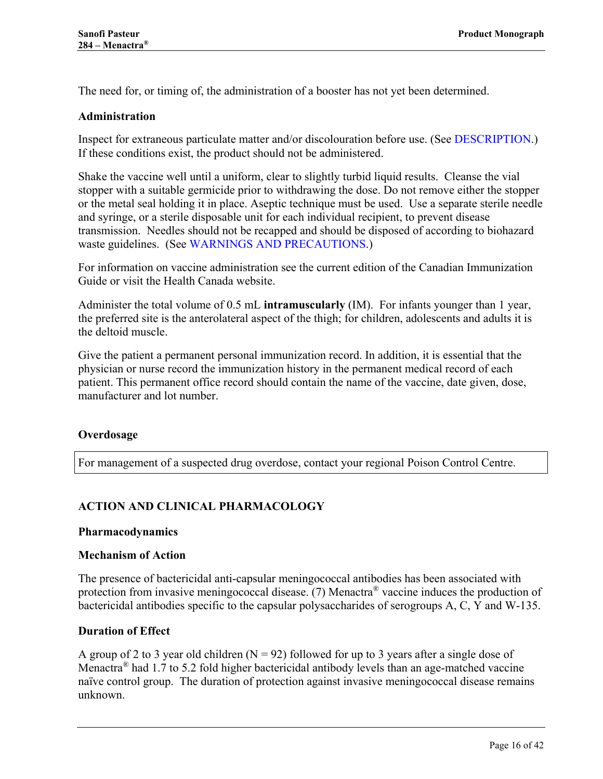<span id="page-15-0"></span>The need for, or timing of, the administration of a booster has not yet been determined.

#### **Administration**

Inspect for extraneous particulate matter and/or discolouration before use. (See [DESCRIPTION.](#page-3-2)) If these conditions exist, the product should not be administered.

Shake the vaccine well until a uniform, clear to slightly turbid liquid results. Cleanse the vial stopper with a suitable germicide prior to withdrawing the dose. Do not remove either the stopper or the metal seal holding it in place. Aseptic technique must be used. Use a separate sterile needle and syringe, or a sterile disposable unit for each individual recipient, to prevent disease transmission. Needles should not be recapped and should be disposed of according to biohazard waste guidelines. (See [WARNINGS AND PRECAUTIONS.](#page-4-3))

For information on vaccine administration see the current edition of the Canadian Immunization Guide or visit the Health Canada website.

Administer the total volume of 0.5 mL **intramuscularly** (IM). For infants younger than 1 year, the preferred site is the anterolateral aspect of the thigh; for children, adolescents and adults it is the deltoid muscle.

Give the patient a permanent personal immunization record. In addition, it is essential that the physician or nurse record the immunization history in the permanent medical record of each patient. This permanent office record should contain the name of the vaccine, date given, dose, manufacturer and lot number.

#### <span id="page-15-1"></span>**Overdosage**

For management of a suspected drug overdose, contact your regional Poison Control Centre.

### <span id="page-15-2"></span>**ACTION AND CLINICAL PHARMACOLOGY**

#### <span id="page-15-3"></span>**Pharmacodynamics**

#### **Mechanism of Action**

The presence of bactericidal anti-capsular meningococcal antibodies has been associated with protection from invasive meningococcal disease. [\(7\)](#page-37-7) Menactra® vaccine induces the production of bactericidal antibodies specific to the capsular polysaccharides of serogroups A, C, Y and W-135.

#### <span id="page-15-4"></span>**Duration of Effect**

A group of 2 to 3 year old children  $(N = 92)$  followed for up to 3 years after a single dose of Menactra<sup>®</sup> had 1.7 to 5.2 fold higher bactericidal antibody levels than an age-matched vaccine naïve control group. The duration of protection against invasive meningococcal disease remains unknown.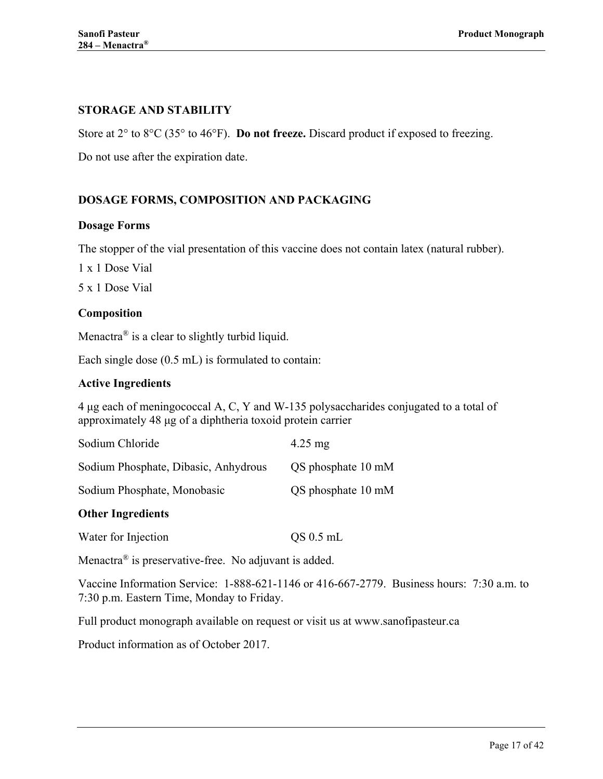# <span id="page-16-0"></span>**STORAGE AND STABILITY**

Store at 2° to 8°C (35° to 46°F). **Do not freeze.** Discard product if exposed to freezing.

Do not use after the expiration date.

# <span id="page-16-1"></span>**DOSAGE FORMS, COMPOSITION AND PACKAGING**

### <span id="page-16-2"></span>**Dosage Forms**

The stopper of the vial presentation of this vaccine does not contain latex (natural rubber).

1 x 1 Dose Vial

<span id="page-16-3"></span>5 x 1 Dose Vial

### **Composition**

Menactra<sup>®</sup> is a clear to slightly turbid liquid.

Each single dose (0.5 mL) is formulated to contain:

#### **Active Ingredients**

4 μg each of meningococcal A, C, Y and W-135 polysaccharides conjugated to a total of approximately 48 μg of a diphtheria toxoid protein carrier

| Sodium Chloride                      | $4.25$ mg          |
|--------------------------------------|--------------------|
| Sodium Phosphate, Dibasic, Anhydrous | QS phosphate 10 mM |
| Sodium Phosphate, Monobasic          | QS phosphate 10 mM |

#### **Other Ingredients**

Water for Injection QS 0.5 mL

Menactra® is preservative-free. No adjuvant is added.

Vaccine Information Service: 1-888-621-1146 or 416-667-2779. Business hours: 7:30 a.m. to 7:30 p.m. Eastern Time, Monday to Friday.

Full product monograph available on request or visit us at www.sanofipasteur.ca

Product information as of October 2017.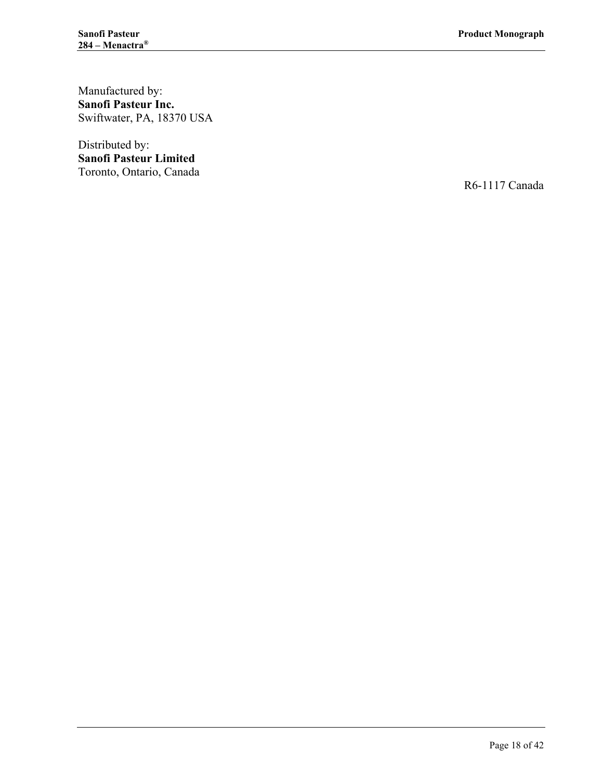Manufactured by: **Sanofi Pasteur Inc.** Swiftwater, PA, 18370 USA

Distributed by: **Sanofi Pasteur Limited** Toronto, Ontario, Canada

R6-1117 Canada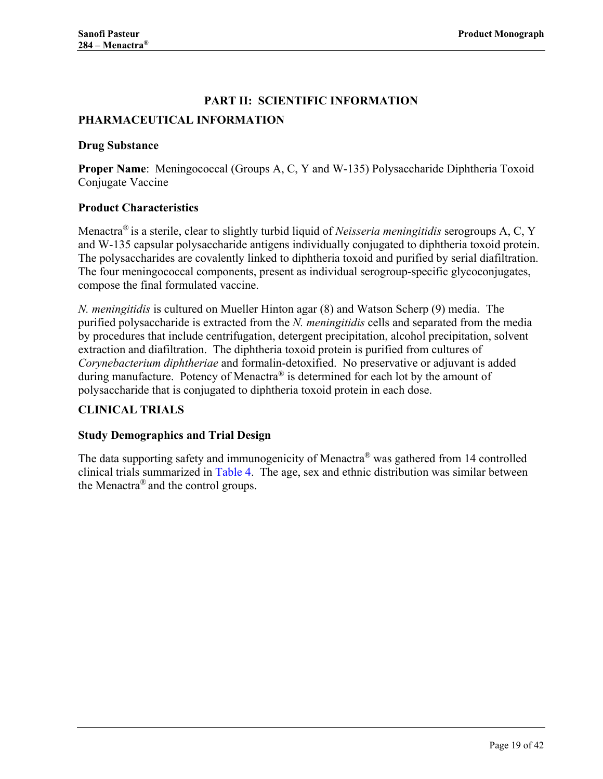# **PART II: SCIENTIFIC INFORMATION**

### <span id="page-18-1"></span><span id="page-18-0"></span>**PHARMACEUTICAL INFORMATION**

#### <span id="page-18-2"></span>**Drug Substance**

**Proper Name**: Meningococcal (Groups A, C, Y and W-135) Polysaccharide Diphtheria Toxoid Conjugate Vaccine

### <span id="page-18-3"></span>**Product Characteristics**

Menactra® is a sterile, clear to slightly turbid liquid of *Neisseria meningitidis* serogroups A, C, Y and W-135 capsular polysaccharide antigens individually conjugated to diphtheria toxoid protein. The polysaccharides are covalently linked to diphtheria toxoid and purified by serial diafiltration. The four meningococcal components, present as individual serogroup-specific glycoconjugates, compose the final formulated vaccine.

*N. meningitidis* is cultured on Mueller Hinton agar [\(8\)](#page-37-8) and Watson Scherp [\(9\)](#page-37-9) media. The purified polysaccharide is extracted from the *N. meningitidis* cells and separated from the media by procedures that include centrifugation, detergent precipitation, alcohol precipitation, solvent extraction and diafiltration. The diphtheria toxoid protein is purified from cultures of *Corynebacterium diphtheriae* and formalin-detoxified. No preservative or adjuvant is added during manufacture. Potency of Menactra® is determined for each lot by the amount of polysaccharide that is conjugated to diphtheria toxoid protein in each dose.

#### <span id="page-18-4"></span>**CLINICAL TRIALS**

#### <span id="page-18-5"></span>**Study Demographics and Trial Design**

The data supporting safety and immunogenicity of Menactra<sup>®</sup> was gathered from 14 controlled clinical trials summarized in [Table 4.](#page-19-0) The age, sex and ethnic distribution was similar between the Menactra® and the control groups.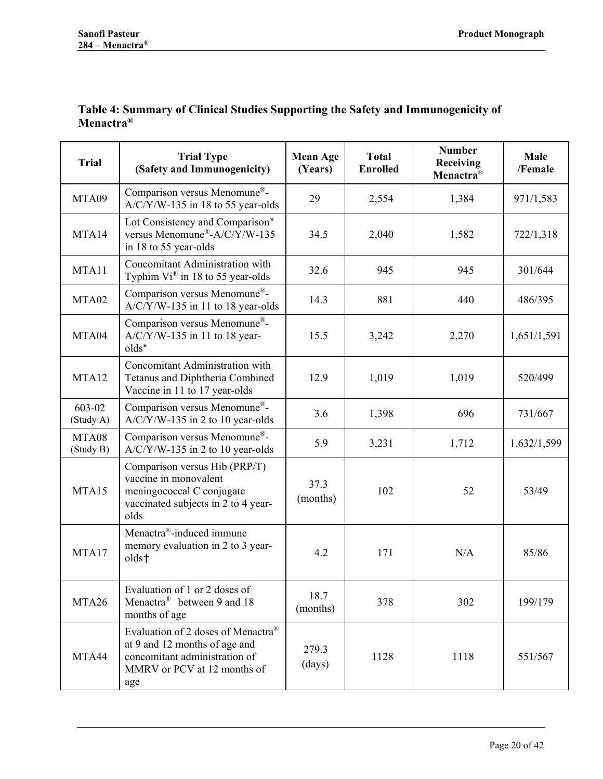<span id="page-19-1"></span><span id="page-19-0"></span>

| Table 4: Summary of Clinical Studies Supporting the Safety and Immunogenicity of |  |  |
|----------------------------------------------------------------------------------|--|--|
| Menactra <sup>®</sup>                                                            |  |  |

| <b>Trial</b>        | <b>Trial Type</b><br>(Safety and Immunogenicity)                                                                                           | <b>Mean Age</b><br>(Years) | <b>Total</b><br><b>Enrolled</b> | <b>Number</b><br>Receiving<br>Menactra <sup>®</sup> | Male<br>/Female |
|---------------------|--------------------------------------------------------------------------------------------------------------------------------------------|----------------------------|---------------------------------|-----------------------------------------------------|-----------------|
| MTA09               | Comparison versus Menomune®-<br>$A/C/Y/W-135$ in 18 to 55 year-olds                                                                        | 29                         | 2,554                           | 1,384                                               | 971/1,583       |
| MTA14               | Lot Consistency and Comparison*<br>versus Menomune®-A/C/Y/W-135<br>in 18 to 55 year-olds                                                   | 34.5                       | 2,040                           | 1,582                                               | 722/1,318       |
| MTA11               | <b>Concomitant Administration with</b><br>Typhim Vi® in 18 to 55 year-olds                                                                 | 32.6                       | 945                             | 945                                                 | 301/644         |
| MTA02               | Comparison versus Menomune®-<br>A/C/Y/W-135 in 11 to 18 year-olds                                                                          | 14.3                       | 881                             | 440                                                 | 486/395         |
| MTA04               | Comparison versus Menomune®-<br>$A/C/Y/W-135$ in 11 to 18 year-<br>$olds^*$                                                                | 15.5                       | 3,242                           | 2,270                                               | 1,651/1,591     |
| MTA12               | Concomitant Administration with<br>Tetanus and Diphtheria Combined<br>Vaccine in 11 to 17 year-olds                                        | 12.9                       | 1,019                           | 1,019                                               | 520/499         |
| 603-02<br>(Study A) | Comparison versus Menomune®-<br>$A/C/Y/W-135$ in 2 to 10 year-olds                                                                         | 3.6                        | 1,398                           | 696                                                 | 731/667         |
| MTA08<br>(Study B)  | Comparison versus Menomune®-<br>$A/C/Y/W-135$ in 2 to 10 year-olds                                                                         | 5.9                        | 3,231                           | 1,712                                               | 1,632/1,599     |
| MTA15               | Comparison versus Hib (PRP/T)<br>vaccine in monovalent<br>meningococcal C conjugate<br>vaccinated subjects in 2 to 4 year-<br>olds         | 37.3<br>(months)           | 102                             | 52                                                  | 53/49           |
| MTA17               | Menactra®-induced immune<br>memory evaluation in 2 to 3 year-<br>olds <sup>+</sup>                                                         | 4.2                        | 171                             | N/A                                                 | 85/86           |
| MTA26               | Evaluation of 1 or 2 doses of<br>Menactra <sup>®</sup> between 9 and 18<br>months of age                                                   | 18.7<br>(months)           | 378                             | 302                                                 | 199/179         |
| MTA44               | Evaluation of 2 doses of Menactra®<br>at 9 and 12 months of age and<br>concomitant administration of<br>MMRV or PCV at 12 months of<br>age | 279.3<br>(days)            | 1128                            | 1118                                                | 551/567         |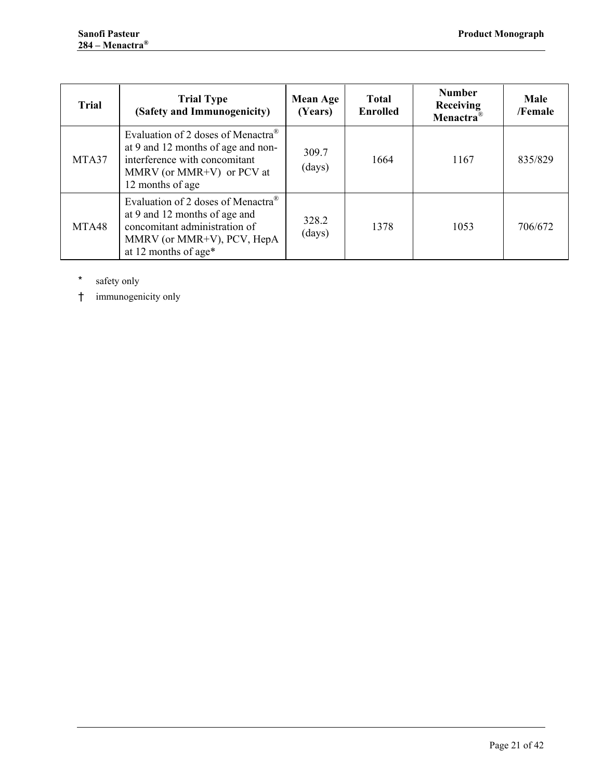| <b>Trial</b> | <b>Trial Type</b><br>(Safety and Immunogenicity)                                                                                                                       | <b>Mean Age</b><br>(Years) | <b>Total</b><br><b>Enrolled</b> | <b>Number</b><br>Receiving<br>Menactra <sup>®</sup> | Male<br>/Female |
|--------------|------------------------------------------------------------------------------------------------------------------------------------------------------------------------|----------------------------|---------------------------------|-----------------------------------------------------|-----------------|
| MTA37        | Evaluation of 2 doses of Menactra <sup>®</sup><br>at 9 and 12 months of age and non-<br>interference with concomitant<br>MMRV (or MMR+V) or PCV at<br>12 months of age | 309.7<br>(days)            | 1664                            | 1167                                                | 835/829         |
| MTA48        | Evaluation of 2 doses of Menactra <sup>®</sup><br>at 9 and 12 months of age and<br>concomitant administration of<br>MMRV (or MMR+V), PCV, HepA<br>at 12 months of age* | 328.2<br>(days)            | 1378                            | 1053                                                | 706/672         |

<span id="page-20-0"></span>\* safety only

<span id="page-20-1"></span>† immunogenicity only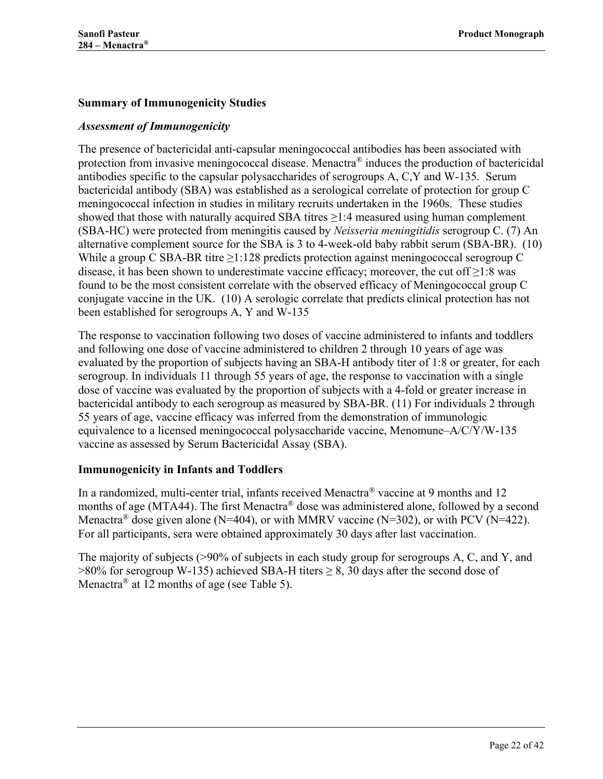### <span id="page-21-0"></span>**Summary of Immunogenicity Studies**

### *Assessment of Immunogenicity*

The presence of bactericidal anti-capsular meningococcal antibodies has been associated with protection from invasive meningococcal disease. Menactra® induces the production of bactericidal antibodies specific to the capsular polysaccharides of serogroups A, C,Y and W-135. Serum bactericidal antibody (SBA) was established as a serological correlate of protection for group C meningococcal infection in studies in military recruits undertaken in the 1960s. These studies showed that those with naturally acquired SBA titres  $\geq$ 1:4 measured using human complement (SBA-HC) were protected from meningitis caused by *Neisseria meningitidis* serogroup C. [\(7\)](#page-37-7) An alternative complement source for the SBA is 3 to 4-week-old baby rabbit serum (SBA-BR). [\(10\)](#page-37-10) While a group C SBA-BR titre  $\geq 1:128$  predicts protection against meningococcal serogroup C disease, it has been shown to underestimate vaccine efficacy; moreover, the cut off  $\geq$ 1:8 was found to be the most consistent correlate with the observed efficacy of Meningococcal group C conjugate vaccine in the UK. [\(10\)](#page-37-10) A serologic correlate that predicts clinical protection has not been established for serogroups A, Y and W-135

The response to vaccination following two doses of vaccine administered to infants and toddlers and following one dose of vaccine administered to children 2 through 10 years of age was evaluated by the proportion of subjects having an SBA-H antibody titer of 1:8 or greater, for each serogroup. In individuals 11 through 55 years of age, the response to vaccination with a single dose of vaccine was evaluated by the proportion of subjects with a 4-fold or greater increase in bactericidal antibody to each serogroup as measured by SBA-BR. [\(11\)](#page-37-11) For individuals 2 through 55 years of age, vaccine efficacy was inferred from the demonstration of immunologic equivalence to a licensed meningococcal polysaccharide vaccine, Menomune–A/C/Y/W-135 vaccine as assessed by Serum Bactericidal Assay (SBA).

#### <span id="page-21-1"></span>**Immunogenicity in Infants and Toddlers**

In a randomized, multi-center trial, infants received Menactra<sup>®</sup> vaccine at 9 months and 12 months of age (MTA44). The first Menactra® dose was administered alone, followed by a second Menactra<sup>®</sup> dose given alone (N=404), or with MMRV vaccine (N=302), or with PCV (N=422). For all participants, sera were obtained approximately 30 days after last vaccination.

The majority of subjects (>90% of subjects in each study group for serogroups A, C, and Y, and  $>80\%$  for serogroup W-135) achieved SBA-H titers  $\geq 8$ , 30 days after the second dose of Menactra<sup>®</sup> at 12 months of age (see [Table 5\)](#page-22-0).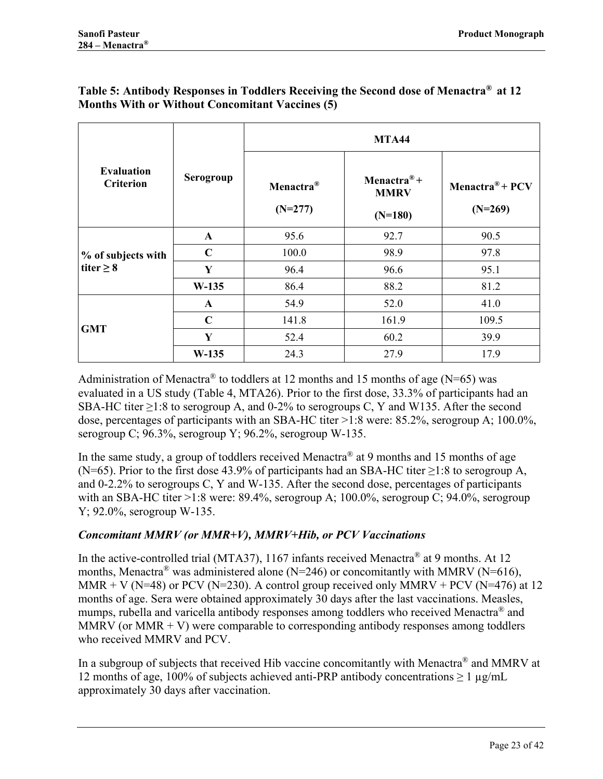|                                       |              | <b>MTA44</b>                       |                                                     |                                          |  |  |  |
|---------------------------------------|--------------|------------------------------------|-----------------------------------------------------|------------------------------------------|--|--|--|
| <b>Evaluation</b><br><b>Criterion</b> | Serogroup    | Menactra <sup>®</sup><br>$(N=277)$ | Menactra <sup>®</sup> +<br><b>MMRV</b><br>$(N=180)$ | Menactra <sup>®</sup> + PCV<br>$(N=269)$ |  |  |  |
|                                       | $\mathbf{A}$ | 95.6                               | 92.7                                                | 90.5                                     |  |  |  |
| % of subjects with                    | $\mathbf C$  | 100.0                              | 98.9                                                | 97.8                                     |  |  |  |
| titer $\geq 8$                        | Y            | 96.4                               | 96.6                                                | 95.1                                     |  |  |  |
|                                       | $W-135$      | 86.4                               | 88.2                                                | 81.2                                     |  |  |  |
|                                       | $\mathbf{A}$ | 54.9                               | 52.0                                                | 41.0                                     |  |  |  |
| <b>GMT</b>                            | $\mathbf C$  | 141.8                              | 161.9                                               | 109.5                                    |  |  |  |
|                                       | Y            | 52.4                               | 60.2                                                | 39.9                                     |  |  |  |
|                                       | $W-135$      | 24.3                               | 27.9                                                | 17.9                                     |  |  |  |

### <span id="page-22-0"></span>**Table 5: Antibody Responses in Toddlers Receiving the Second dose of Menactra® at 12 Months With or Without Concomitant Vaccines [\(5\)](#page-37-5)**

Administration of Menactra<sup>®</sup> to toddlers at 12 months and 15 months of age (N=65) was evaluated in a US study (Table 4, MTA26). Prior to the first dose, 33.3% of participants had an SBA-HC titer >1:8 to serogroup A, and 0-2% to serogroups C, Y and W135. After the second dose, percentages of participants with an SBA-HC titer >1:8 were: 85.2%, serogroup A; 100.0%, serogroup C;  $96.3\%$ , serogroup Y;  $96.2\%$ , serogroup W-135.

In the same study, a group of toddlers received Menactra<sup>®</sup> at 9 months and 15 months of age (N=65). Prior to the first dose 43.9% of participants had an SBA-HC titer  $\geq$ 1:8 to serogroup A, and 0-2.2% to serogroups C, Y and W-135. After the second dose, percentages of participants with an SBA-HC titer >1:8 were: 89.4%, serogroup A; 100.0%, serogroup C; 94.0%, serogroup Y; 92.0%, serogroup W-135.

### *Concomitant MMRV (or MMR+V), MMRV+Hib, or PCV Vaccinations*

In the active-controlled trial (MTA37), 1167 infants received Menactra<sup>®</sup> at 9 months. At 12 months, Menactra<sup>®</sup> was administered alone (N=246) or concomitantly with MMRV (N=616), MMR + V ( $N=48$ ) or PCV ( $N=230$ ). A control group received only MMRV + PCV ( $N=476$ ) at 12 months of age. Sera were obtained approximately 30 days after the last vaccinations. Measles, mumps, rubella and varicella antibody responses among toddlers who received Menactra<sup>®</sup> and MMRV (or MMR  $+$  V) were comparable to corresponding antibody responses among toddlers who received MMRV and PCV.

In a subgroup of subjects that received Hib vaccine concomitantly with Menactra® and MMRV at 12 months of age, 100% of subjects achieved anti-PRP antibody concentrations  $\geq 1 \mu$ g/mL approximately 30 days after vaccination.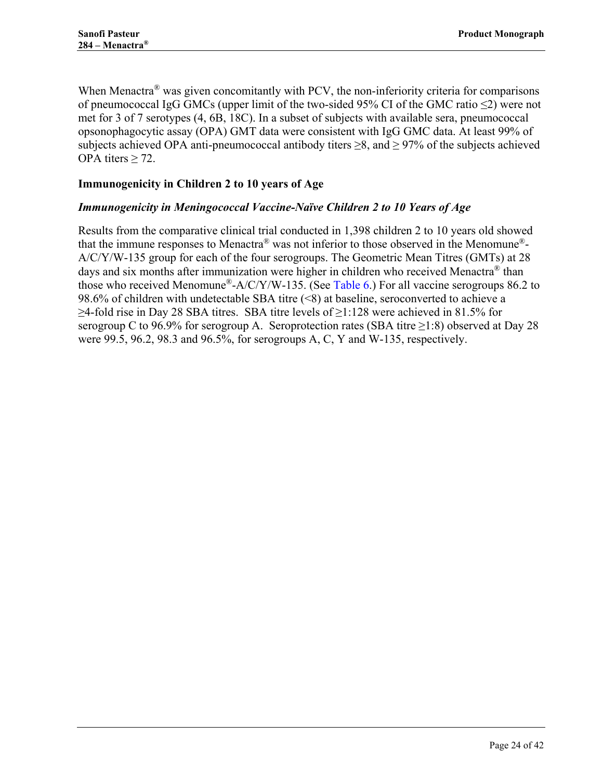When Menactra<sup>®</sup> was given concomitantly with PCV, the non-inferiority criteria for comparisons of pneumococcal IgG GMCs (upper limit of the two-sided 95% CI of the GMC ratio ≤2) were not met for 3 of 7 serotypes (4, 6B, 18C). In a subset of subjects with available sera, pneumococcal opsonophagocytic assay (OPA) GMT data were consistent with IgG GMC data. At least 99% of subjects achieved OPA anti-pneumococcal antibody titers  $\geq 8$ , and  $\geq 97\%$  of the subjects achieved OPA titers  $\geq$  72.

### <span id="page-23-0"></span>**Immunogenicity in Children 2 to 10 years of Age**

#### *Immunogenicity in Meningococcal Vaccine-Naïve Children 2 to 10 Years of Age*

Results from the comparative clinical trial conducted in 1,398 children 2 to 10 years old showed that the immune responses to Menactra® was not inferior to those observed in the Menomune®- A/C/Y/W-135 group for each of the four serogroups. The Geometric Mean Titres (GMTs) at 28 days and six months after immunization were higher in children who received Menactra<sup>®</sup> than those who received Menomune<sup>®</sup>-A/C/Y/W-135. (See [Table 6.](#page-24-0)) For all vaccine serogroups 86.2 to 98.6% of children with undetectable SBA titre (<8) at baseline, seroconverted to achieve a  $\geq$ 4-fold rise in Day 28 SBA titres. SBA titre levels of  $\geq$ 1:128 were achieved in 81.5% for serogroup C to 96.9% for serogroup A. Seroprotection rates (SBA titre  $\geq$ 1:8) observed at Day 28 were 99.5, 96.2, 98.3 and 96.5%, for serogroups A, C, Y and W-135, respectively.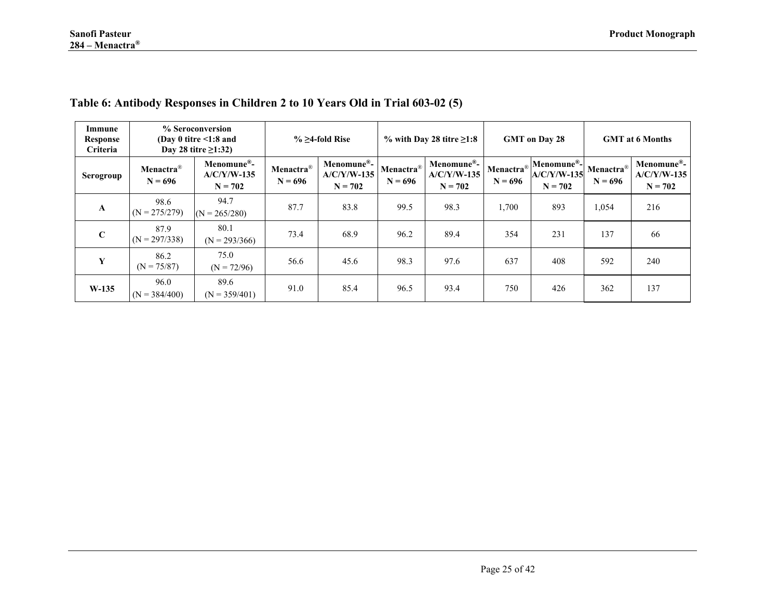<span id="page-24-0"></span>

|                                                                                                                       |                                    | where $\alpha$ , $\alpha$ , $\alpha$ , $\alpha$ , $\beta$ , $\alpha$ , $\beta$ , $\beta$ , $\alpha$ , $\alpha$ , $\alpha$ , $\alpha$ , $\alpha$ , $\alpha$ , $\alpha$ , $\alpha$ , $\alpha$ , $\alpha$ , $\alpha$ , $\alpha$ , $\alpha$ , $\alpha$ , $\alpha$ , $\alpha$ , $\alpha$ , $\alpha$ , $\alpha$ , $\alpha$ , $\alpha$ , $\alpha$ , $\alpha$ , $\alpha$ , $\alpha$ , $\alpha$ , $\alpha$ , $\alpha$ , |                                    |                                          |                        |                                          |                                    |                                                       |                                    |                                          |
|-----------------------------------------------------------------------------------------------------------------------|------------------------------------|----------------------------------------------------------------------------------------------------------------------------------------------------------------------------------------------------------------------------------------------------------------------------------------------------------------------------------------------------------------------------------------------------------------|------------------------------------|------------------------------------------|------------------------|------------------------------------------|------------------------------------|-------------------------------------------------------|------------------------------------|------------------------------------------|
| % Seroconversion<br>Immune<br>(Day 0 titre $\leq$ 1:8 and<br>Response<br><b>Criteria</b><br>Day 28 titre $\geq$ 1:32) |                                    | $\%$ $\geq$ 4-fold Rise                                                                                                                                                                                                                                                                                                                                                                                        |                                    | % with Day 28 titre $\geq 1:8$           |                        | <b>GMT</b> on Day 28                     |                                    | <b>GMT</b> at 6 Months                                |                                    |                                          |
| Serogroup                                                                                                             | Menactra <sup>®</sup><br>$N = 696$ | Menomune®-<br>$A/C/Y/W-135$<br>$N = 702$                                                                                                                                                                                                                                                                                                                                                                       | Menactra <sup>®</sup><br>$N = 696$ | Menomune®-<br>$A/C/Y/W-135$<br>$N = 702$ | Menactra®<br>$N = 696$ | Menomune®-<br>$A/C/Y/W-135$<br>$N = 702$ | Menactra <sup>®</sup><br>$N = 696$ | Menomune <sup>®</sup> -<br>$A/C/Y/W-135$<br>$N = 702$ | Menactra <sup>®</sup><br>$N = 696$ | Menomune®-<br>$A/C/Y/W-135$<br>$N = 702$ |
| $\mathbf{A}$                                                                                                          | 98.6<br>$(N = 275/279)$            | 94.7<br>$(N = 265/280)$                                                                                                                                                                                                                                                                                                                                                                                        | 87.7                               | 83.8                                     | 99.5                   | 98.3                                     | 1,700                              | 893                                                   | 1,054                              | 216                                      |
| $\mathbf C$                                                                                                           | 87.9<br>$(N = 297/338)$            | 80.1<br>$(N = 293/366)$                                                                                                                                                                                                                                                                                                                                                                                        | 73.4                               | 68.9                                     | 96.2                   | 89.4                                     | 354                                | 231                                                   | 137                                | 66                                       |
| Y                                                                                                                     | 86.2<br>$(N = 75/87)$              | 75.0<br>$(N = 72/96)$                                                                                                                                                                                                                                                                                                                                                                                          | 56.6                               | 45.6                                     | 98.3                   | 97.6                                     | 637                                | 408                                                   | 592                                | 240                                      |
| $W-135$                                                                                                               | 96.0<br>$(N = 384/400)$            | 89.6<br>$(N = 359/401)$                                                                                                                                                                                                                                                                                                                                                                                        | 91.0                               | 85.4                                     | 96.5                   | 93.4                                     | 750                                | 426                                                   | 362                                | 137                                      |

### **Table 6: Antibody Responses in Children 2 to 10 Years Old in Trial 603-02 [\(5\)](#page-37-12)**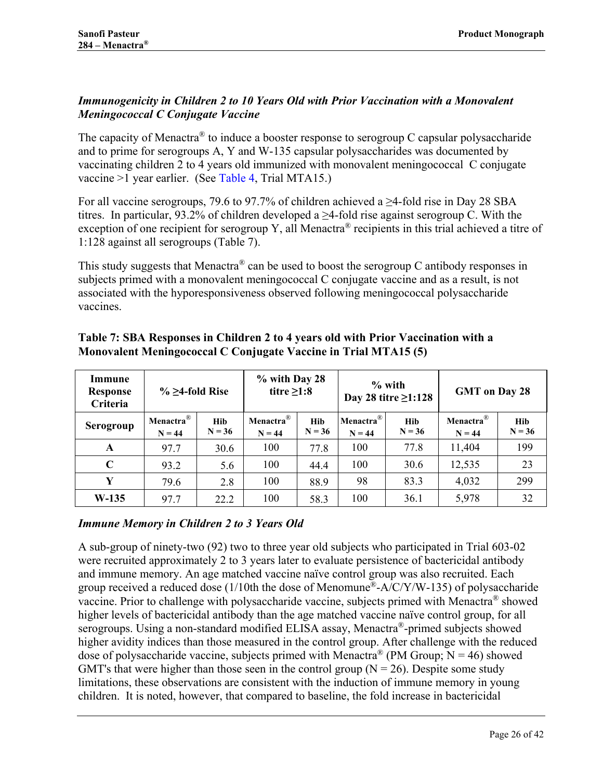# *Immunogenicity in Children 2 to 10 Years Old with Prior Vaccination with a Monovalent Meningococcal C Conjugate Vaccine*

The capacity of Menactra® to induce a booster response to serogroup C capsular polysaccharide and to prime for serogroups A, Y and W-135 capsular polysaccharides was documented by vaccinating children 2 to 4 years old immunized with monovalent meningococcal C conjugate vaccine >1 year earlier. (See [Table 4,](#page-19-0) Trial MTA15.)

For all vaccine serogroups, 79.6 to 97.7% of children achieved a  $\geq$ 4-fold rise in Day 28 SBA titres. In particular, 93.2% of children developed a  $\geq$ 4-fold rise against serogroup C. With the exception of one recipient for serogroup Y, all Menactra® recipients in this trial achieved a titre of 1:128 against all serogroups [\(Table 7\)](#page-25-0).

This study suggests that Menactra<sup>®</sup> can be used to boost the serogroup C antibody responses in subjects primed with a monovalent meningococcal C conjugate vaccine and as a result, is not associated with the hyporesponsiveness observed following meningococcal polysaccharide vaccines.

| Immune<br><b>Response</b><br>Criteria | $\%$ $\geq$ 4-fold Rise           |                        | % with Day 28<br>titre $\geq 1:8$   |                        |                                   | $%$ with<br>Day 28 titre $\geq$ 1:128 | <b>GMT</b> on Day 28              |                 |
|---------------------------------------|-----------------------------------|------------------------|-------------------------------------|------------------------|-----------------------------------|---------------------------------------|-----------------------------------|-----------------|
| Serogroup                             | Menactra <sup>®</sup><br>$N = 44$ | <b>Hib</b><br>$N = 36$ | Menactra $^{\circledR}$<br>$N = 44$ | <b>Hib</b><br>$N = 36$ | Menactra <sup>®</sup><br>$N = 44$ | <b>Hib</b><br>$N = 36$                | Menactra <sup>®</sup><br>$N = 44$ | Hib<br>$N = 36$ |
| A                                     | 977                               | 30.6                   | 100                                 | 77.8                   | 100                               | 77.8                                  | 11,404                            | 199             |
| $\mathbf C$                           | 93.2                              | 5.6                    | 100                                 | 44.4                   | 100                               | 30.6                                  | 12,535                            | 23              |
| Y                                     | 79.6                              | 2.8                    | 100                                 | 88.9                   | 98                                | 83.3                                  | 4,032                             | 299             |
| $W-135$                               | 97.7                              | 22.2                   | 100                                 | 58.3                   | 100                               | 36.1                                  | 5,978                             | 32              |

### <span id="page-25-0"></span>**Table 7: SBA Responses in Children 2 to 4 years old with Prior Vaccination with a Monovalent Meningococcal C Conjugate Vaccine in Trial MTA15 [\(5\)](#page-37-5)**

### *Immune Memory in Children 2 to 3 Years Old*

A sub-group of ninety-two (92) two to three year old subjects who participated in Trial 603-02 were recruited approximately 2 to 3 years later to evaluate persistence of bactericidal antibody and immune memory. An age matched vaccine naïve control group was also recruited. Each group received a reduced dose (1/10th the dose of Menomune<sup>®</sup>-A/C/Y/W-135) of polysaccharide vaccine. Prior to challenge with polysaccharide vaccine, subjects primed with Menactra® showed higher levels of bactericidal antibody than the age matched vaccine naïve control group, for all serogroups. Using a non-standard modified ELISA assay, Menactra®-primed subjects showed higher avidity indices than those measured in the control group. After challenge with the reduced dose of polysaccharide vaccine, subjects primed with Menactra<sup>®</sup> (PM Group; N = 46) showed GMT's that were higher than those seen in the control group ( $N = 26$ ). Despite some study limitations, these observations are consistent with the induction of immune memory in young children. It is noted, however, that compared to baseline, the fold increase in bactericidal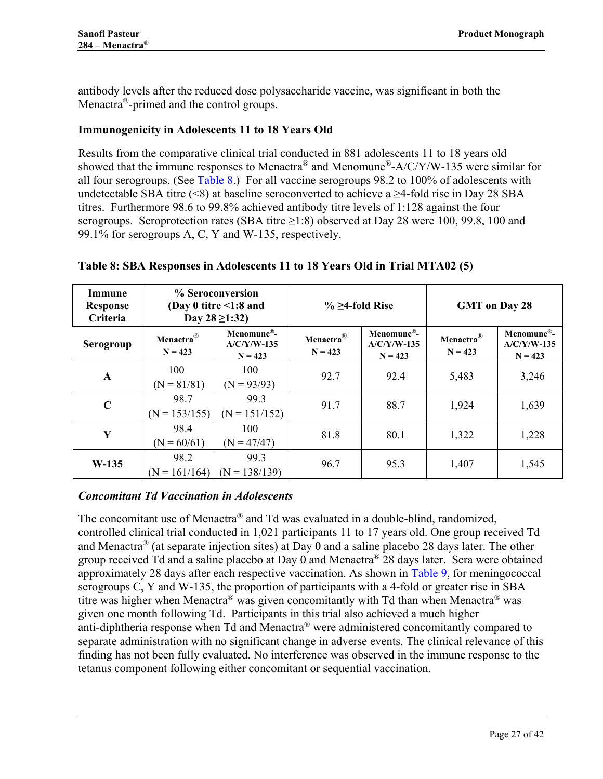antibody levels after the reduced dose polysaccharide vaccine, was significant in both the Menactra<sup>®</sup>-primed and the control groups.

### <span id="page-26-0"></span>**Immunogenicity in Adolescents 11 to 18 Years Old**

Results from the comparative clinical trial conducted in 881 adolescents 11 to 18 years old showed that the immune responses to Menactra® and Menomune®-A/C/Y/W-135 were similar for all four serogroups. (See [Table 8.](#page-26-1)) For all vaccine serogroups 98.2 to 100% of adolescents with undetectable SBA titre (<8) at baseline seroconverted to achieve a  $\geq$ 4-fold rise in Day 28 SBA titres. Furthermore 98.6 to 99.8% achieved antibody titre levels of 1:128 against the four serogroups. Seroprotection rates (SBA titre  $\geq$ 1:8) observed at Day 28 were 100, 99.8, 100 and 99.1% for serogroups A, C, Y and W-135, respectively.

| Immune<br><b>Response</b><br>Criteria | % Seroconversion<br>(Day 0 titre $\leq$ 1:8 and<br>Day $28 \ge 1:32$ |                                          | $\%$ $\geq$ 4-fold Rise            |                                                       | <b>GMT</b> on Day 28               |                                                       |
|---------------------------------------|----------------------------------------------------------------------|------------------------------------------|------------------------------------|-------------------------------------------------------|------------------------------------|-------------------------------------------------------|
| Serogroup                             | Menactra $^{\circledR}$<br>$N = 423$                                 | Menomune®-<br>$A/C/Y/W-135$<br>$N = 423$ | Menactra <sup>®</sup><br>$N = 423$ | Menomune <sup>®</sup> -<br>$A/C/Y/W-135$<br>$N = 423$ | Menactra <sup>®</sup><br>$N = 423$ | Menomune <sup>®</sup> -<br>$A/C/Y/W-135$<br>$N = 423$ |
| A                                     | 100<br>$(N = 81/81)$                                                 | 100<br>$(N = 93/93)$                     | 92.7                               | 92.4                                                  | 5,483                              | 3,246                                                 |
| $\mathbf C$                           | 98.7<br>$(N = 153/155)$                                              | 99.3<br>$(N = 151/152)$                  | 91.7                               | 88.7                                                  | 1,924                              | 1,639                                                 |
| Y                                     | 98.4<br>$(N = 60/61)$                                                | 100<br>$(N = 47/47)$                     | 81.8                               | 80.1                                                  | 1,322                              | 1,228                                                 |
| $W-135$                               | 98.2<br>$(N = 161/164)$                                              | 99.3<br>$(N = 138/139)$                  | 96.7                               | 95.3                                                  | 1,407                              | 1,545                                                 |

### <span id="page-26-1"></span>**Table 8: SBA Responses in Adolescents 11 to 18 Years Old in Trial MTA02 [\(5\)](#page-37-5)**

### *Concomitant Td Vaccination in Adolescents*

The concomitant use of Menactra® and Td was evaluated in a double-blind, randomized, controlled clinical trial conducted in 1,021 participants 11 to 17 years old. One group received Td and Menactra<sup>®</sup> (at separate injection sites) at Day 0 and a saline placebo 28 days later. The other group received Td and a saline placebo at Day 0 and Menactra<sup>®</sup> 28 days later. Sera were obtained approximately 28 days after each respective vaccination. As shown in [Table 9,](#page-27-0) for meningococcal serogroups C, Y and W-135, the proportion of participants with a 4-fold or greater rise in SBA titre was higher when Menactra<sup>®</sup> was given concomitantly with Td than when Menactra<sup>®</sup> was given one month following Td. Participants in this trial also achieved a much higher anti-diphtheria response when Td and Menactra® were administered concomitantly compared to separate administration with no significant change in adverse events. The clinical relevance of this finding has not been fully evaluated. No interference was observed in the immune response to the tetanus component following either concomitant or sequential vaccination.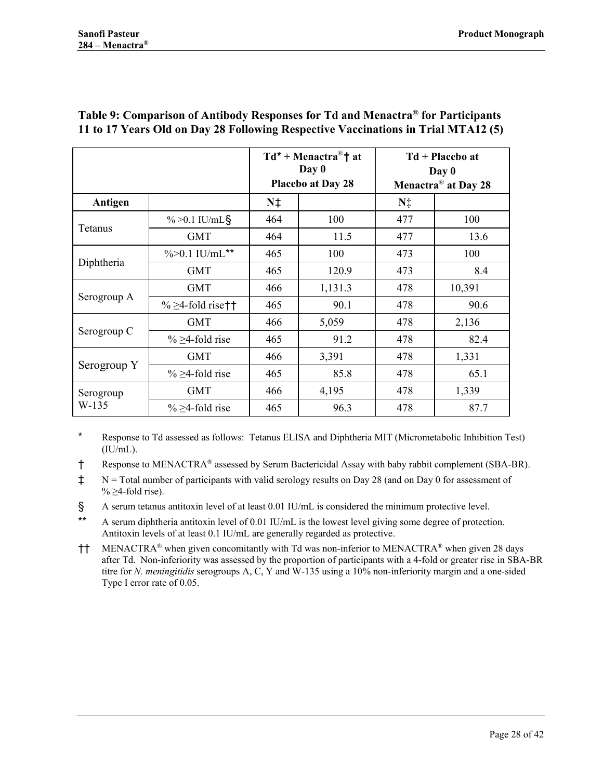|                      |                          |             | $Td^*$ + Menactra <sup>®</sup> † at<br>Day 0<br><b>Placebo at Day 28</b> | $Td + Placebo$ at<br>Day 0<br>Menactra <sup>®</sup> at Day 28 |        |
|----------------------|--------------------------|-------------|--------------------------------------------------------------------------|---------------------------------------------------------------|--------|
| Antigen              |                          | $N\ddagger$ |                                                                          | N‡                                                            |        |
| Tetanus              | $\% > 0.1$ IU/mL§        | 464         | 100                                                                      | 477                                                           | 100    |
|                      | <b>GMT</b>               | 464         | 11.5                                                                     | 477                                                           | 13.6   |
| Diphtheria           | $\% > 0.1$ IU/mL**       | 465         | 100                                                                      | 473                                                           | 100    |
|                      | <b>GMT</b>               | 465         | 120.9                                                                    | 473                                                           | 8.4    |
|                      | <b>GMT</b>               | 466         | 1,131.3                                                                  | 478                                                           | 10,391 |
| Serogroup A          | $\% \geq 4$ -fold rise†† | 465         | 90.1                                                                     | 478                                                           | 90.6   |
| Serogroup C          | <b>GMT</b>               | 466         | 5,059                                                                    | 478                                                           | 2,136  |
|                      | $\% \geq 4$ -fold rise   | 465         | 91.2                                                                     | 478                                                           | 82.4   |
| Serogroup Y          | <b>GMT</b>               | 466         | 3,391                                                                    | 478                                                           | 1,331  |
|                      | $\% \geq 4$ -fold rise   | 465         | 85.8                                                                     | 478                                                           | 65.1   |
| Serogroup<br>$W-135$ | <b>GMT</b>               | 466         | 4,195                                                                    | 478                                                           | 1,339  |
|                      | $\% \geq 4$ -fold rise   | 465         | 96.3                                                                     | 478                                                           | 87.7   |

#### <span id="page-27-0"></span>**Table 9: Comparison of Antibody Responses for Td and Menactra® for Participants 11 to 17 Years Old on Day 28 Following Respective Vaccinations in Trial MTA12 [\(5\)](#page-37-5)**

\* Response to Td assessed as follows: Tetanus ELISA and Diphtheria MIT (Micrometabolic Inhibition Test)  $(IU/mL).$ 

† Response to MENACTRA® assessed by Serum Bactericidal Assay with baby rabbit complement (SBA-BR).

‡ N = Total number of participants with valid serology results on Day 28 (and on Day 0 for assessment of %  $\geq$ 4-fold rise).

§ A serum tetanus antitoxin level of at least 0.01 IU/mL is considered the minimum protective level.

\*\* A serum diphtheria antitoxin level of 0.01 IU/mL is the lowest level giving some degree of protection. Antitoxin levels of at least 0.1 IU/mL are generally regarded as protective.

†† MENACTRA® when given concomitantly with Td was non-inferior to MENACTRA® when given 28 days after Td. Non-inferiority was assessed by the proportion of participants with a 4-fold or greater rise in SBA-BR titre for *N. meningitidis* serogroups A, C, Y and W-135 using a 10% non-inferiority margin and a one-sided Type I error rate of 0.05.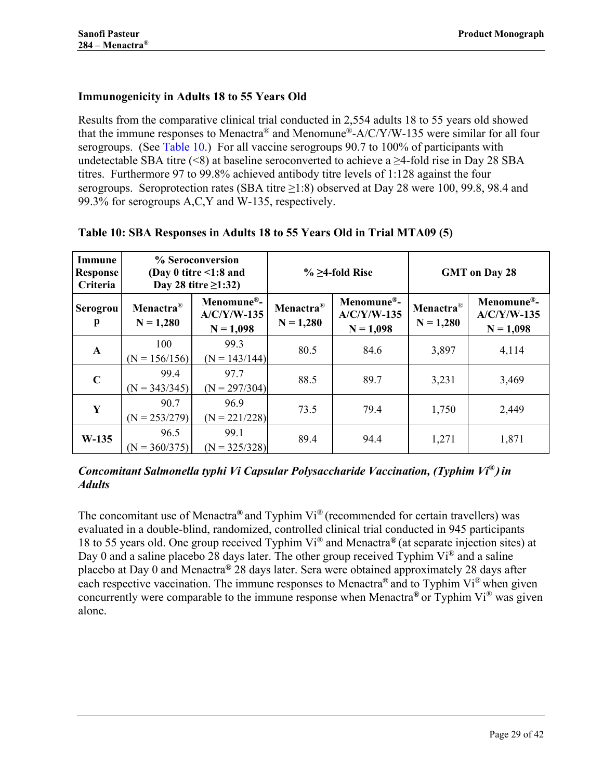# <span id="page-28-0"></span>**Immunogenicity in Adults 18 to 55 Years Old**

Results from the comparative clinical trial conducted in 2,554 adults 18 to 55 years old showed that the immune responses to Menactra<sup>®</sup> and Menomune<sup>®</sup>-A/C/Y/W-135 were similar for all four serogroups. (See [Table 10.](#page-28-7)) For all vaccine serogroups 90.7 to 100% of participants with undetectable SBA titre (<8) at baseline seroconverted to achieve a  $\geq$ 4-fold rise in Day 28 SBA titres. Furthermore 97 to 99.8% achieved antibody titre levels of 1:128 against the four serogroups. Seroprotection rates (SBA titre  $\geq$ 1:8) observed at Day 28 were 100, 99.8, 98.4 and 99.3% for serogroups A,C,Y and W-135, respectively.

| Immune<br><b>Response</b><br>Criteria | % Seroconversion<br>(Day 0 titre $\leq$ 1:8 and<br>Day 28 titre $\geq$ 1:32) |                                            | $\%$ $\geq$ 4-fold Rise              |                                            | <b>GMT</b> on Day 28                 |                                            |
|---------------------------------------|------------------------------------------------------------------------------|--------------------------------------------|--------------------------------------|--------------------------------------------|--------------------------------------|--------------------------------------------|
| Serogrou<br>p                         | Menactra <sup>®</sup><br>$N = 1,280$                                         | Menomune®-<br>$A/C/Y/W-135$<br>$N = 1,098$ | Menactra <sup>®</sup><br>$N = 1,280$ | Menomune®-<br>$A/C/Y/W-135$<br>$N = 1,098$ | Menactra <sup>®</sup><br>$N = 1,280$ | Menomune®-<br>$A/C/Y/W-135$<br>$N = 1,098$ |
| $\mathbf{A}$                          | 100<br>$(N = 156/156)$                                                       | 99.3<br>$(N = 143/144)$                    | 80.5                                 | 84.6                                       | 3,897                                | 4,114                                      |
| $\mathbf C$                           | 99.4<br>$(N = 343/345)$                                                      | 97.7<br>$(N = 297/304)$                    | 88.5                                 | 89.7                                       | 3,231                                | 3,469                                      |
| Y                                     | 90.7<br>$(N = 253/279)$                                                      | 96.9<br>$(N = 221/228)$                    | 73.5                                 | 79.4                                       | 1,750                                | 2,449                                      |
| $W-135$                               | 96.5<br>$(N = 360/375)$                                                      | 99.1<br>$(N = 325/328)$                    | 89.4                                 | 94.4                                       | 1,271                                | 1,871                                      |

#### <span id="page-28-7"></span>**Table 10: SBA Responses in Adults 18 to 55 Years Old in Trial MTA09 [\(5\)](#page-37-5)**

<span id="page-28-3"></span><span id="page-28-2"></span><span id="page-28-1"></span>*Concomitant Salmonella typhi Vi Capsular Polysaccharide Vaccination, (Typhim Vi®***)** *in Adults*

<span id="page-28-6"></span><span id="page-28-5"></span><span id="page-28-4"></span>The concomitant use of Menactra**®** and Typhim Vi® (recommended for certain travellers) was evaluated in a double-blind, randomized, controlled clinical trial conducted in 945 participants 18 to 55 years old. One group received Typhim Vi® and Menactra**®** (at separate injection sites) at Day 0 and a saline placebo 28 days later. The other group received Typhim Vi® and a saline placebo at Day 0 and Menactra**®** 28 days later. Sera were obtained approximately 28 days after each respective vaccination. The immune responses to Menactra**®** and to Typhim Vi® when given concurrently were comparable to the immune response when Menactra**®** or Typhim Vi® was given alone.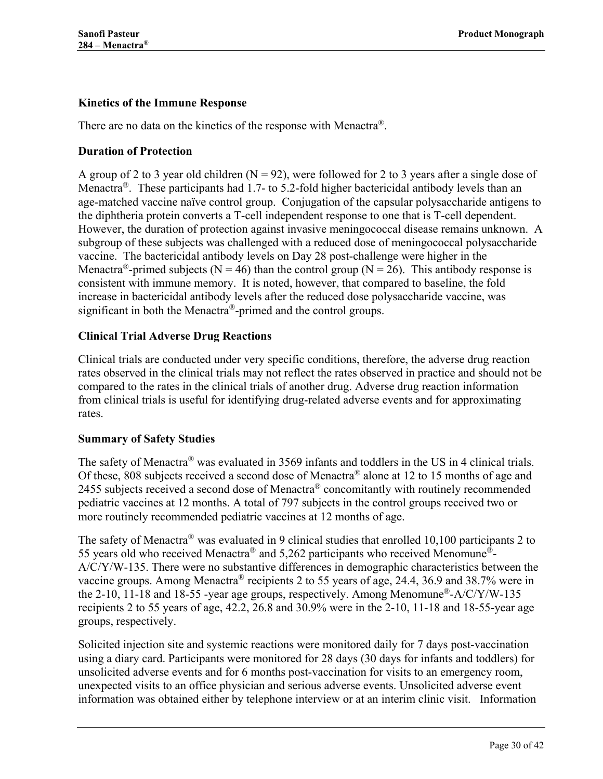### <span id="page-29-0"></span>**Kinetics of the Immune Response**

There are no data on the kinetics of the response with Menactra<sup>®</sup>.

### <span id="page-29-1"></span>**Duration of Protection**

A group of 2 to 3 year old children  $(N = 92)$ , were followed for 2 to 3 years after a single dose of Menactra<sup>®</sup>. These participants had 1.7- to 5.2-fold higher bactericidal antibody levels than an age-matched vaccine naïve control group. Conjugation of the capsular polysaccharide antigens to the diphtheria protein converts a T-cell independent response to one that is T-cell dependent. However, the duration of protection against invasive meningococcal disease remains unknown. A subgroup of these subjects was challenged with a reduced dose of meningococcal polysaccharide vaccine. The bactericidal antibody levels on Day 28 post-challenge were higher in the Menactra<sup>®</sup>-primed subjects (N = 46) than the control group (N = 26). This antibody response is consistent with immune memory. It is noted, however, that compared to baseline, the fold increase in bactericidal antibody levels after the reduced dose polysaccharide vaccine, was significant in both the Menactra®-primed and the control groups.

### <span id="page-29-2"></span>**Clinical Trial Adverse Drug Reactions**

Clinical trials are conducted under very specific conditions, therefore, the adverse drug reaction rates observed in the clinical trials may not reflect the rates observed in practice and should not be compared to the rates in the clinical trials of another drug. Adverse drug reaction information from clinical trials is useful for identifying drug-related adverse events and for approximating rates.

### <span id="page-29-3"></span>**Summary of Safety Studies**

The safety of Menactra® was evaluated in 3569 infants and toddlers in the US in 4 clinical trials. Of these, 808 subjects received a second dose of Menactra® alone at 12 to 15 months of age and 2455 subjects received a second dose of Menactra<sup>®</sup> concomitantly with routinely recommended pediatric vaccines at 12 months. A total of 797 subjects in the control groups received two or more routinely recommended pediatric vaccines at 12 months of age.

The safety of Menactra® was evaluated in 9 clinical studies that enrolled 10,100 participants 2 to 55 years old who received Menactra® and 5,262 participants who received Menomune®- A/C/Y/W-135. There were no substantive differences in demographic characteristics between the vaccine groups. Among Menactra® recipients 2 to 55 years of age, 24.4, 36.9 and 38.7% were in the 2-10, 11-18 and 18-55 -year age groups, respectively. Among Menomune®-A/C/Y/W-135 recipients 2 to 55 years of age, 42.2, 26.8 and 30.9% were in the 2-10, 11-18 and 18-55-year age groups, respectively.

Solicited injection site and systemic reactions were monitored daily for 7 days post-vaccination using a diary card. Participants were monitored for 28 days (30 days for infants and toddlers) for unsolicited adverse events and for 6 months post-vaccination for visits to an emergency room, unexpected visits to an office physician and serious adverse events. Unsolicited adverse event information was obtained either by telephone interview or at an interim clinic visit. Information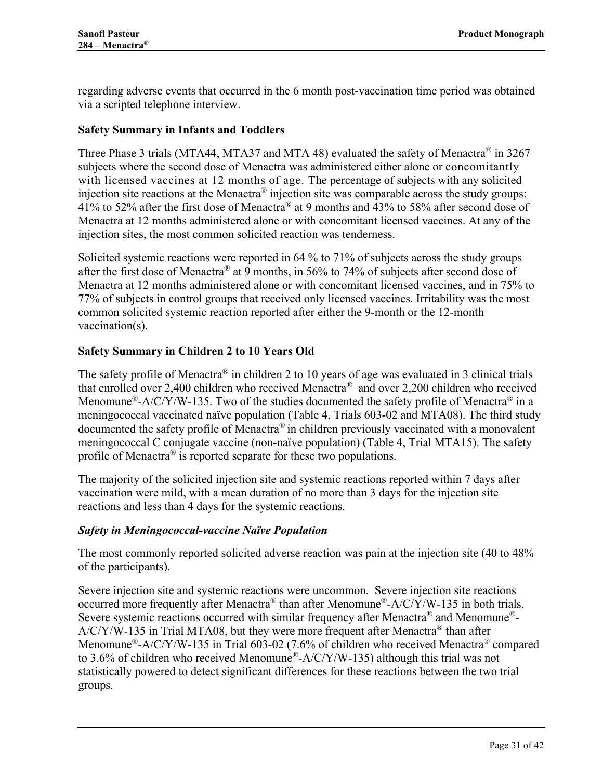regarding adverse events that occurred in the 6 month post-vaccination time period was obtained via a scripted telephone interview.

### <span id="page-30-0"></span>**Safety Summary in Infants and Toddlers**

Three Phase 3 trials (MTA44, MTA37 and MTA 48) evaluated the safety of Menactra<sup>®</sup> in 3267 subjects where the second dose of Menactra was administered either alone or concomitantly with licensed vaccines at 12 months of age. The percentage of subjects with any solicited injection site reactions at the Menactra® injection site was comparable across the study groups: 41% to 52% after the first dose of Menactra® at 9 months and 43% to 58% after second dose of Menactra at 12 months administered alone or with concomitant licensed vaccines. At any of the injection sites, the most common solicited reaction was tenderness.

Solicited systemic reactions were reported in 64 % to 71% of subjects across the study groups after the first dose of Menactra® at 9 months, in 56% to 74% of subjects after second dose of Menactra at 12 months administered alone or with concomitant licensed vaccines, and in 75% to 77% of subjects in control groups that received only licensed vaccines. Irritability was the most common solicited systemic reaction reported after either the 9-month or the 12-month vaccination(s).

### <span id="page-30-1"></span>**Safety Summary in Children 2 to 10 Years Old**

The safety profile of Menactra<sup>®</sup> in children 2 to 10 years of age was evaluated in 3 clinical trials that enrolled over 2,400 children who received Menactra® and over 2,200 children who received Menomune<sup>®</sup>-A/C/Y/W-135. Two of the studies documented the safety profile of Menactra<sup>®</sup> in a meningococcal vaccinated naïve population [\(Table 4,](#page-19-0) Trials 603-02 and MTA08). The third study documented the safety profile of Menactra® in children previously vaccinated with a monovalent meningococcal C conjugate vaccine (non-naïve population) [\(Table 4,](#page-19-0) Trial MTA15). The safety profile of Menactra<sup>®</sup> is reported separate for these two populations.

The majority of the solicited injection site and systemic reactions reported within 7 days after vaccination were mild, with a mean duration of no more than 3 days for the injection site reactions and less than 4 days for the systemic reactions.

#### *Safety in Meningococcal-vaccine Naïve Population*

The most commonly reported solicited adverse reaction was pain at the injection site (40 to 48% of the participants).

Severe injection site and systemic reactions were uncommon. Severe injection site reactions occurred more frequently after Menactra<sup>®</sup> than after Menomune<sup>®</sup>-A/C/Y/W-135 in both trials. Severe systemic reactions occurred with similar frequency after Menactra<sup>®</sup> and Menomune<sup>®</sup>-A/C/Y/W-135 in Trial MTA08, but they were more frequent after Menactra® than after Menomune<sup>®</sup>-A/C/Y/W-135 in Trial 603-02 (7.6% of children who received Menactra<sup>®</sup> compared to 3.6% of children who received Menomune<sup>®</sup>-A/C/Y/W-135) although this trial was not statistically powered to detect significant differences for these reactions between the two trial groups.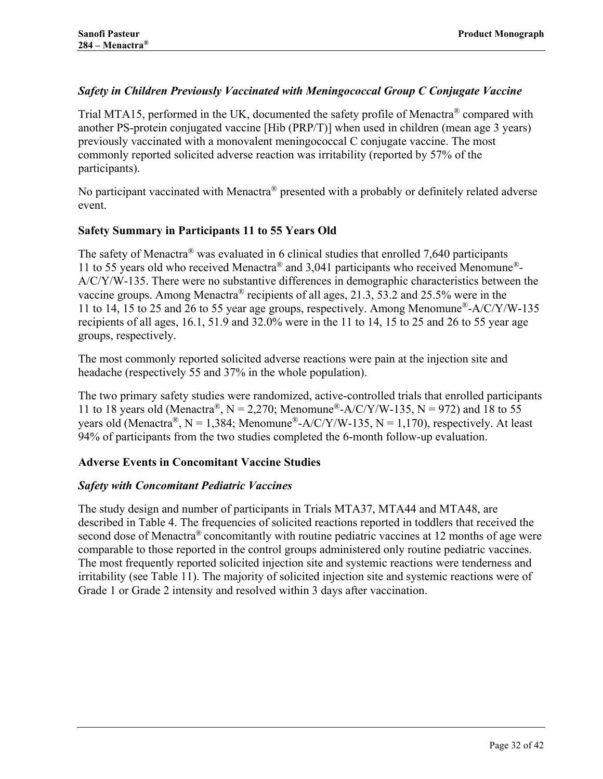### *Safety in Children Previously Vaccinated with Meningococcal Group C Conjugate Vaccine*

Trial MTA15, performed in the UK, documented the safety profile of Menactra<sup>®</sup> compared with another PS-protein conjugated vaccine [Hib (PRP/T)] when used in children (mean age 3 years) previously vaccinated with a monovalent meningococcal C conjugate vaccine. The most commonly reported solicited adverse reaction was irritability (reported by 57% of the participants).

No participant vaccinated with Menactra® presented with a probably or definitely related adverse event.

### <span id="page-31-0"></span>**Safety Summary in Participants 11 to 55 Years Old**

The safety of Menactra® was evaluated in 6 clinical studies that enrolled 7,640 participants 11 to 55 years old who received Menactra® and 3,041 participants who received Menomune®- A/C/Y/W-135. There were no substantive differences in demographic characteristics between the vaccine groups. Among Menactra<sup>®</sup> recipients of all ages, 21.3, 53.2 and 25.5% were in the 11 to 14, 15 to 25 and 26 to 55 year age groups, respectively. Among Menomune®-A/C/Y/W-135 recipients of all ages, 16.1, 51.9 and 32.0% were in the 11 to 14, 15 to 25 and 26 to 55 year age groups, respectively.

The most commonly reported solicited adverse reactions were pain at the injection site and headache (respectively 55 and 37% in the whole population).

The two primary safety studies were randomized, active-controlled trials that enrolled participants 11 to 18 years old (Menactra®,  $N = 2,270$ ; Menomune®-A/C/Y/W-135,  $N = 972$ ) and 18 to 55 years old (Menactra®, N = 1,384; Menomune®-A/C/Y/W-135, N = 1,170), respectively. At least 94% of participants from the two studies completed the 6-month follow-up evaluation.

### <span id="page-31-1"></span>**Adverse Events in Concomitant Vaccine Studies**

### *Safety with Concomitant Pediatric Vaccines*

The study design and number of participants in Trials MTA37, MTA44 and MTA48, are described in [Table 4.](#page-19-0) The frequencies of solicited reactions reported in toddlers that received the second dose of Menactra<sup>®</sup> concomitantly with routine pediatric vaccines at 12 months of age were comparable to those reported in the control groups administered only routine pediatric vaccines. The most frequently reported solicited injection site and systemic reactions were tenderness and irritability (see [Table 11\)](#page-32-0). The majority of solicited injection site and systemic reactions were of Grade 1 or Grade 2 intensity and resolved within 3 days after vaccination.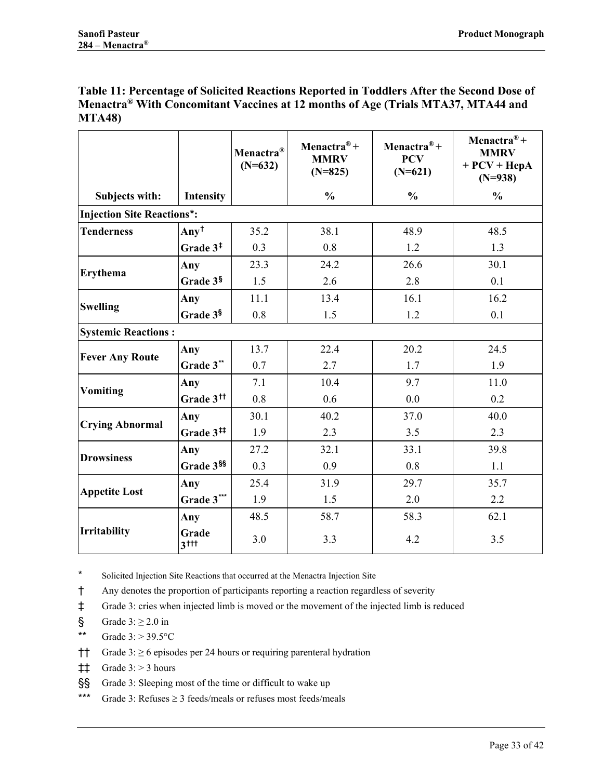<span id="page-32-0"></span>

| Table 11: Percentage of Solicited Reactions Reported in Toddlers After the Second Dose of |  |
|-------------------------------------------------------------------------------------------|--|
| Menactra® With Concomitant Vaccines at 12 months of Age (Trials MTA37, MTA44 and          |  |
| <b>MTA48)</b>                                                                             |  |

|                                   |                             | Menactra <sup>®</sup><br>$(N=632)$ | Menactra <sup>®+</sup><br><b>MMRV</b><br>$(N=825)$ | Menactra <sup>®+</sup><br><b>PCV</b><br>$(N=621)$ | Menactra <sup>®+</sup><br><b>MMRV</b><br>$+ PCV + HepA$<br>$(N=938)$ |
|-----------------------------------|-----------------------------|------------------------------------|----------------------------------------------------|---------------------------------------------------|----------------------------------------------------------------------|
| Subjects with:                    | Intensity                   |                                    | $\frac{0}{0}$                                      | $\frac{0}{0}$                                     | $\frac{0}{0}$                                                        |
| <b>Injection Site Reactions*:</b> |                             |                                    |                                                    |                                                   |                                                                      |
| <b>Tenderness</b>                 | $Any\dagger$                | 35.2                               | 38.1                                               | 48.9                                              | 48.5                                                                 |
|                                   | Grade $3‡$                  | 0.3                                | 0.8                                                | 1.2                                               | 1.3                                                                  |
| <b>Erythema</b>                   | Any                         | 23.3                               | 24.2                                               | 26.6                                              | 30.1                                                                 |
|                                   | Grade 3§                    | 1.5                                | 2.6                                                | 2.8                                               | 0.1                                                                  |
| <b>Swelling</b>                   | Any                         | 11.1                               | 13.4                                               | 16.1                                              | 16.2                                                                 |
|                                   | Grade 3 <sup>§</sup>        | 0.8                                | 1.5                                                | 1.2                                               | 0.1                                                                  |
| <b>Systemic Reactions:</b>        |                             |                                    |                                                    |                                                   |                                                                      |
| <b>Fever Any Route</b>            | Any                         | 13.7                               | 22.4                                               | 20.2                                              | 24.5                                                                 |
|                                   | Grade 3**                   | 0.7                                | 2.7                                                | 1.7                                               | 1.9                                                                  |
| <b>Vomiting</b>                   | Any                         | 7.1                                | 10.4                                               | 9.7                                               | 11.0                                                                 |
|                                   | Grade 3 <sup>tt</sup>       | 0.8                                | 0.6                                                | 0.0                                               | 0.2                                                                  |
| <b>Crying Abnormal</b>            | Any                         | 30.1                               | 40.2                                               | 37.0                                              | 40.0                                                                 |
|                                   | Grade 3 <sup>##</sup>       | 1.9                                | 2.3                                                | 3.5                                               | 2.3                                                                  |
| <b>Drowsiness</b>                 | Any                         | 27.2                               | 32.1                                               | 33.1                                              | 39.8                                                                 |
|                                   | Grade 3SS                   | 0.3                                | 0.9                                                | 0.8                                               | 1.1                                                                  |
| <b>Appetite Lost</b>              | Any                         | 25.4                               | 31.9                                               | 29.7                                              | 35.7                                                                 |
|                                   | Grade 3***                  | 1.9                                | 1.5                                                | 2.0                                               | 2.2                                                                  |
|                                   | Any                         | 48.5                               | 58.7                                               | 58.3                                              | 62.1                                                                 |
| <b>Irritability</b>               | Grade<br>$3$ <sup>ttt</sup> | 3.0                                | 3.3                                                | 4.2                                               | 3.5                                                                  |

<span id="page-32-2"></span><span id="page-32-1"></span>\* Solicited Injection Site Reactions that occurred at the Menactra Injection Site

<span id="page-32-3"></span>† Any denotes the proportion of participants reporting a reaction regardless of severity

<span id="page-32-4"></span>‡ Grade 3: cries when injected limb is moved or the movement of the injected limb is reduced

<span id="page-32-5"></span>§ Grade  $3: \geq 2.0$  in

- <span id="page-32-6"></span>\*\* Grade  $3: > 39.5$ °C
- <span id="page-32-7"></span>†† Grade 3: ≥ 6 episodes per 24 hours or requiring parenteral hydration
- <span id="page-32-8"></span> $\ddagger$  Grade 3: > 3 hours
- <span id="page-32-9"></span>§§ Grade 3: Sleeping most of the time or difficult to wake up
- <span id="page-32-10"></span>\*\*\* Grade 3: Refuses  $\geq$  3 feeds/meals or refuses most feeds/meals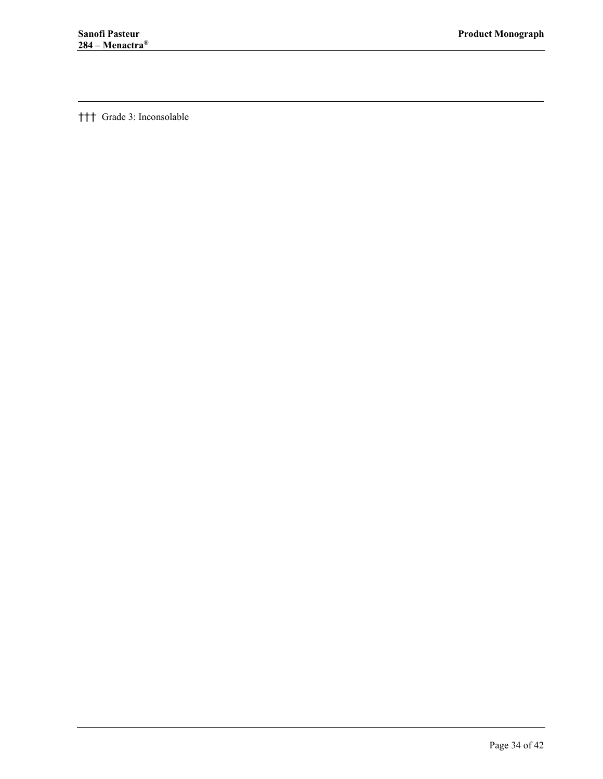$\overline{a}$ 

††† Grade 3: Inconsolable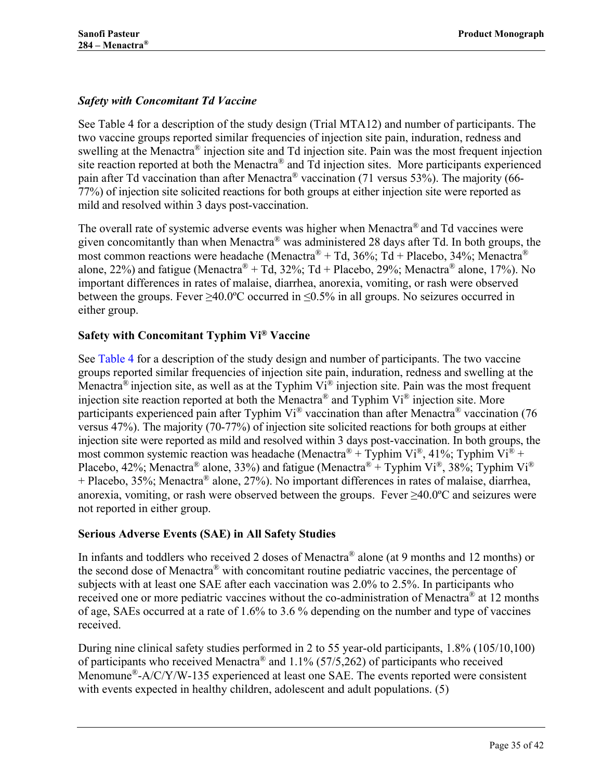# *Safety with Concomitant Td Vaccine*

See [Table 4](#page-19-0) for a description of the study design (Trial MTA12) and number of participants. The two vaccine groups reported similar frequencies of injection site pain, induration, redness and swelling at the Menactra® injection site and Td injection site. Pain was the most frequent injection site reaction reported at both the Menactra® and Td injection sites. More participants experienced pain after Td vaccination than after Menactra<sup>®</sup> vaccination (71 versus 53%). The majority (66-77%) of injection site solicited reactions for both groups at either injection site were reported as mild and resolved within 3 days post-vaccination.

The overall rate of systemic adverse events was higher when Menactra® and Td vaccines were given concomitantly than when Menactra® was administered 28 days after Td. In both groups, the most common reactions were headache (Menactra<sup>®</sup> + Td, 36%; Td + Placebo, 34%; Menactra<sup>®</sup> alone, 22%) and fatigue (Menactra<sup>®</sup> + Td, 32%; Td + Placebo, 29%; Menactra<sup>®</sup> alone, 17%). No important differences in rates of malaise, diarrhea, anorexia, vomiting, or rash were observed between the groups. Fever  $\geq 40.0$ °C occurred in  $\leq 0.5\%$  in all groups. No seizures occurred in either group.

# **Safety with Concomitant Typhim Vi® Vaccine**

See [Table 4](#page-19-0) for a description of the study design and number of participants. The two vaccine groups reported similar frequencies of injection site pain, induration, redness and swelling at the Menactra<sup>®</sup> injection site, as well as at the Typhim Vi<sup>®</sup> injection site. Pain was the most frequent injection site reaction reported at both the Menactra® and Typhim Vi® injection site. More participants experienced pain after Typhim Vi<sup>®</sup> vaccination than after Menactra<sup>®</sup> vaccination (76 versus 47%). The majority (70-77%) of injection site solicited reactions for both groups at either injection site were reported as mild and resolved within 3 days post-vaccination. In both groups, the most common systemic reaction was headache (Menactra<sup>®</sup> + Typhim Vi<sup>®</sup>, 41%; Typhim Vi<sup>®</sup> + Placebo, 42%; Menactra<sup>®</sup> alone, 33%) and fatigue (Menactra<sup>®</sup> + Typhim Vi<sup>®</sup>, 38%; Typhim Vi<sup>®</sup> + Placebo, 35%; Menactra® alone, 27%). No important differences in rates of malaise, diarrhea, anorexia, vomiting, or rash were observed between the groups. Fever  $\geq 40.0^{\circ}$ C and seizures were not reported in either group.

### <span id="page-34-0"></span>**Serious Adverse Events (SAE) in All Safety Studies**

In infants and toddlers who received 2 doses of Menactra® alone (at 9 months and 12 months) or the second dose of Menactra® with concomitant routine pediatric vaccines, the percentage of subjects with at least one SAE after each vaccination was 2.0% to 2.5%. In participants who received one or more pediatric vaccines without the co-administration of Menactra<sup>®</sup> at 12 months of age, SAEs occurred at a rate of 1.6% to 3.6 % depending on the number and type of vaccines received.

During nine clinical safety studies performed in 2 to 55 year-old participants, 1.8% (105/10,100) of participants who received Menactra<sup>®</sup> and  $1.1\%$  (57/5,262) of participants who received Menomune<sup>®</sup>-A/C/Y/W-135 experienced at least one SAE. The events reported were consistent with events expected in healthy children, adolescent and adult populations. [\(5\)](#page-37-5)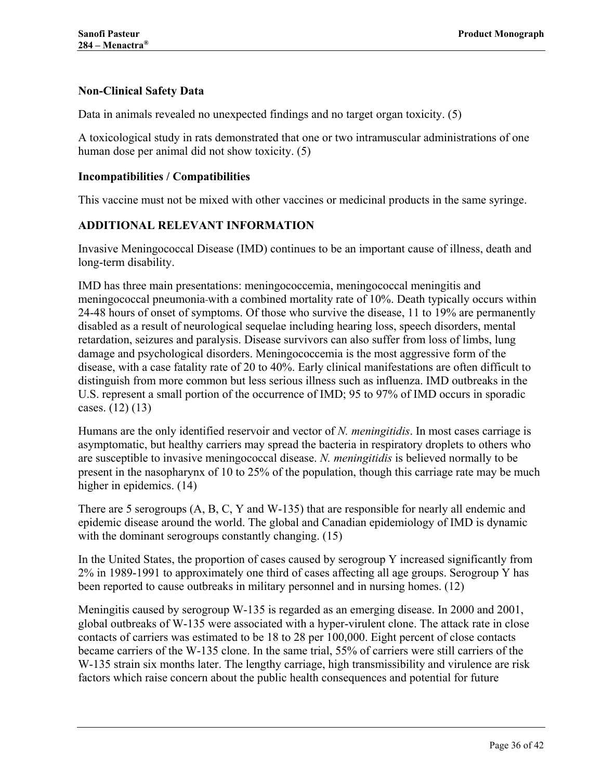### <span id="page-35-0"></span>**Non-Clinical Safety Data**

Data in animals revealed no unexpected findings and no target organ toxicity. [\(5\)](#page-37-5)

A toxicological study in rats demonstrated that one or two intramuscular administrations of one human dose per animal did not show toxicity. [\(5\)](#page-37-5)

#### <span id="page-35-1"></span>**Incompatibilities / Compatibilities**

<span id="page-35-2"></span>This vaccine must not be mixed with other vaccines or medicinal products in the same syringe.

#### **ADDITIONAL RELEVANT INFORMATION**

Invasive Meningococcal Disease (IMD) continues to be an important cause of illness, death and long-term disability.

IMD has three main presentations: meningococcemia, meningococcal meningitis and meningococcal pneumonia with a combined mortality rate of 10%. Death typically occurs within 24-48 hours of onset of symptoms. Of those who survive the disease, 11 to 19% are permanently disabled as a result of neurological sequelae including hearing loss, speech disorders, mental retardation, seizures and paralysis. Disease survivors can also suffer from loss of limbs, lung damage and psychological disorders. Meningococcemia is the most aggressive form of the disease, with a case fatality rate of 20 to 40%. Early clinical manifestations are often difficult to distinguish from more common but less serious illness such as influenza. IMD outbreaks in the U.S. represent a small portion of the occurrence of IMD; 95 to 97% of IMD occurs in sporadic cases. [\(12\)](#page-37-13) [\(13\)](#page-37-14)

Humans are the only identified reservoir and vector of *N. meningitidis*. In most cases carriage is asymptomatic, but healthy carriers may spread the bacteria in respiratory droplets to others who are susceptible to invasive meningococcal disease. *N. meningitidis* is believed normally to be present in the nasopharynx of 10 to 25% of the population, though this carriage rate may be much higher in epidemics. [\(14\)](#page-37-15)

There are 5 serogroups (A, B, C, Y and W-135) that are responsible for nearly all endemic and epidemic disease around the world. The global and Canadian epidemiology of IMD is dynamic with the dominant serogroups constantly changing. [\(15\)](#page-37-16)

In the United States, the proportion of cases caused by serogroup Y increased significantly from 2% in 1989-1991 to approximately one third of cases affecting all age groups. Serogroup Y has been reported to cause outbreaks in military personnel and in nursing homes. [\(12\)](#page-37-13) 

Meningitis caused by serogroup W-135 is regarded as an emerging disease. In 2000 and 2001, global outbreaks of W-135 were associated with a hyper-virulent clone. The attack rate in close contacts of carriers was estimated to be 18 to 28 per 100,000. Eight percent of close contacts became carriers of the W-135 clone. In the same trial, 55% of carriers were still carriers of the W-135 strain six months later. The lengthy carriage, high transmissibility and virulence are risk factors which raise concern about the public health consequences and potential for future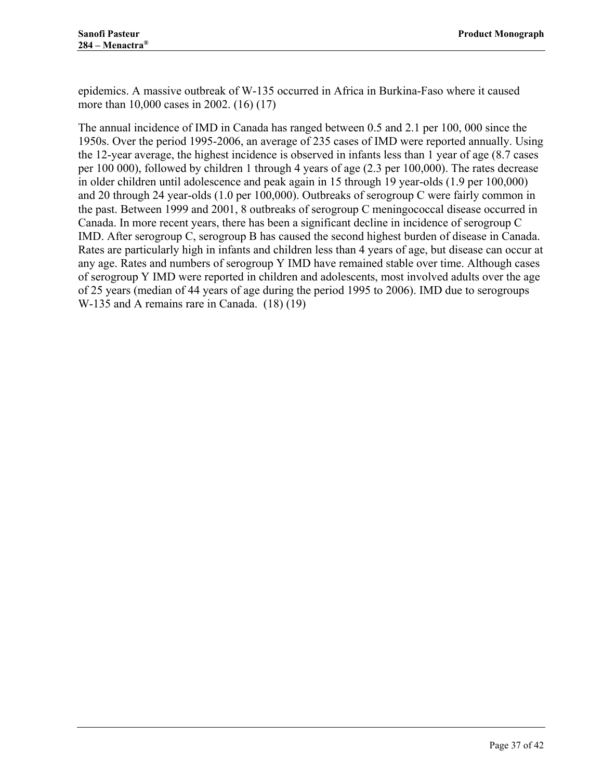epidemics. A massive outbreak of W-135 occurred in Africa in Burkina-Faso where it caused more than 10,000 cases in 2002. [\(16\)](#page-37-17) [\(17\)](#page-38-0)

The annual incidence of IMD in Canada has ranged between 0.5 and 2.1 per 100, 000 since the 1950s. Over the period 1995-2006, an average of 235 cases of IMD were reported annually. Using the 12-year average, the highest incidence is observed in infants less than 1 year of age (8.7 cases per 100 000), followed by children 1 through 4 years of age (2.3 per 100,000). The rates decrease in older children until adolescence and peak again in 15 through 19 year-olds (1.9 per 100,000) and 20 through 24 year-olds (1.0 per 100,000). Outbreaks of serogroup C were fairly common in the past. Between 1999 and 2001, 8 outbreaks of serogroup C meningococcal disease occurred in Canada. In more recent years, there has been a significant decline in incidence of serogroup C IMD. After serogroup C, serogroup B has caused the second highest burden of disease in Canada. Rates are particularly high in infants and children less than 4 years of age, but disease can occur at any age. Rates and numbers of serogroup Y IMD have remained stable over time. Although cases of serogroup Y IMD were reported in children and adolescents, most involved adults over the age of 25 years (median of 44 years of age during the period 1995 to 2006). IMD due to serogroups W-135 and A remains rare in Canada. [\(18\)](#page-38-1) [\(19\)](#page-38-2)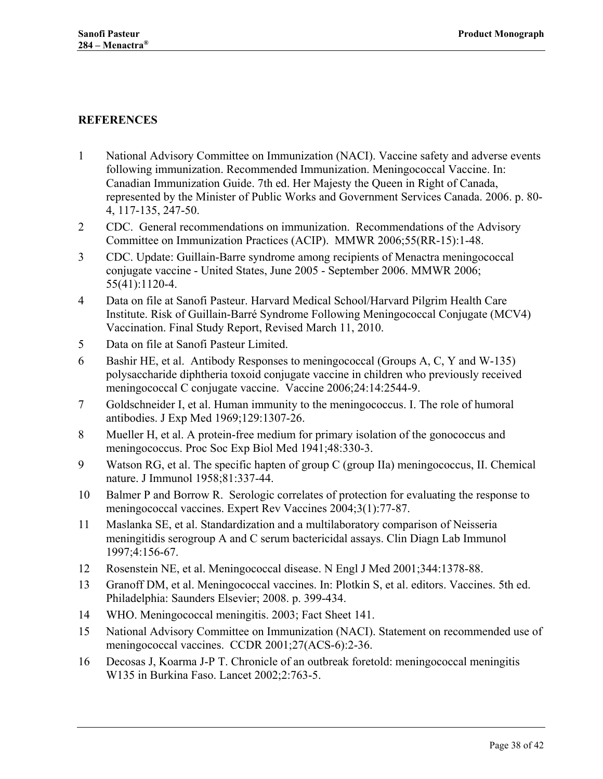### <span id="page-37-0"></span>**REFERENCES**

- <span id="page-37-12"></span><span id="page-37-1"></span>1 National Advisory Committee on Immunization (NACI). Vaccine safety and adverse events following immunization. Recommended Immunization. Meningococcal Vaccine. In: Canadian Immunization Guide. 7th ed. Her Majesty the Queen in Right of Canada, represented by the Minister of Public Works and Government Services Canada. 2006. p. 80- 4, 117-135, 247-50.
- <span id="page-37-2"></span>2 CDC. General recommendations on immunization. Recommendations of the Advisory Committee on Immunization Practices (ACIP). MMWR 2006;55(RR-15):1-48.
- <span id="page-37-3"></span>3 CDC. Update: Guillain-Barre syndrome among recipients of Menactra meningococcal conjugate vaccine - United States, June 2005 - September 2006. MMWR 2006; 55(41):1120-4.
- <span id="page-37-4"></span>4 Data on file at Sanofi Pasteur. Harvard Medical School/Harvard Pilgrim Health Care Institute. Risk of Guillain-Barré Syndrome Following Meningococcal Conjugate (MCV4) Vaccination. Final Study Report, Revised March 11, 2010.
- <span id="page-37-5"></span>5 Data on file at Sanofi Pasteur Limited.
- <span id="page-37-6"></span>6 Bashir HE, et al. Antibody Responses to meningococcal (Groups A, C, Y and W-135) polysaccharide diphtheria toxoid conjugate vaccine in children who previously received meningococcal C conjugate vaccine. Vaccine 2006;24:14:2544-9.
- <span id="page-37-7"></span>7 Goldschneider I, et al. Human immunity to the meningococcus. I. The role of humoral antibodies. J Exp Med 1969;129:1307-26.
- <span id="page-37-8"></span>8 Mueller H, et al. A protein-free medium for primary isolation of the gonococcus and meningococcus. Proc Soc Exp Biol Med 1941;48:330-3.
- <span id="page-37-9"></span>9 Watson RG, et al. The specific hapten of group C (group IIa) meningococcus, II. Chemical nature. J Immunol 1958;81:337-44.
- <span id="page-37-10"></span>10 Balmer P and Borrow R. Serologic correlates of protection for evaluating the response to meningococcal vaccines. Expert Rev Vaccines 2004;3(1):77-87.
- <span id="page-37-11"></span>11 Maslanka SE, et al. Standardization and a multilaboratory comparison of Neisseria meningitidis serogroup A and C serum bactericidal assays. Clin Diagn Lab Immunol 1997;4:156-67.
- <span id="page-37-13"></span>12 Rosenstein NE, et al. Meningococcal disease. N Engl J Med 2001;344:1378-88.
- <span id="page-37-14"></span>13 Granoff DM, et al. Meningococcal vaccines. In: Plotkin S, et al. editors. Vaccines. 5th ed. Philadelphia: Saunders Elsevier; 2008. p. 399-434.
- <span id="page-37-15"></span>14 WHO. Meningococcal meningitis. 2003; Fact Sheet 141.
- <span id="page-37-16"></span>15 National Advisory Committee on Immunization (NACI). Statement on recommended use of meningococcal vaccines. CCDR 2001;27(ACS-6):2-36.
- <span id="page-37-17"></span>16 Decosas J, Koarma J-P T. Chronicle of an outbreak foretold: meningococcal meningitis W135 in Burkina Faso. Lancet 2002;2:763-5.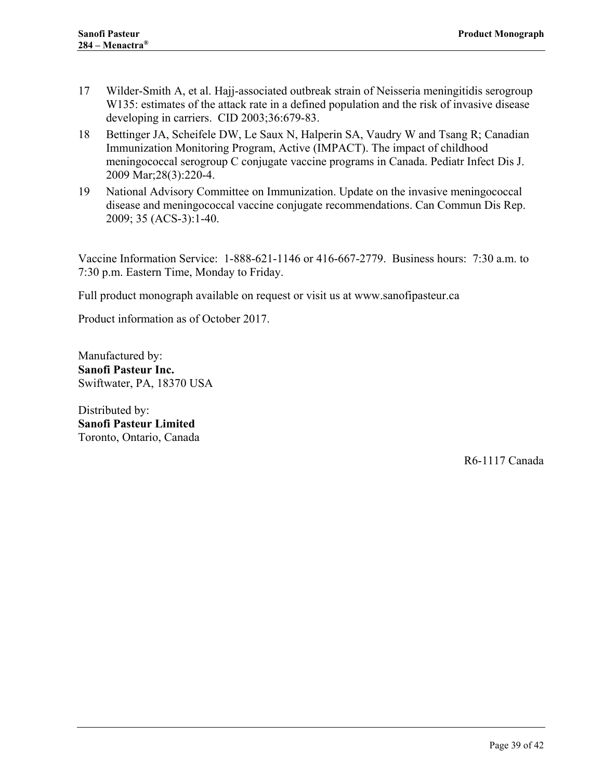- <span id="page-38-0"></span>17 Wilder-Smith A, et al. Hajj-associated outbreak strain of Neisseria meningitidis serogroup W135: estimates of the attack rate in a defined population and the risk of invasive disease developing in carriers. CID 2003;36:679-83.
- <span id="page-38-1"></span>18 Bettinger JA, Scheifele DW, Le Saux N, Halperin SA, Vaudry W and Tsang R; Canadian Immunization Monitoring Program, Active (IMPACT). The impact of childhood meningococcal serogroup C conjugate vaccine programs in Canada. Pediatr Infect Dis J. 2009 Mar;28(3):220-4.
- <span id="page-38-2"></span>19 National Advisory Committee on Immunization. Update on the invasive meningococcal disease and meningococcal vaccine conjugate recommendations. Can Commun Dis Rep. 2009; 35 (ACS-3):1-40.

Vaccine Information Service: 1-888-621-1146 or 416-667-2779. Business hours: 7:30 a.m. to 7:30 p.m. Eastern Time, Monday to Friday.

Full product monograph available on request or visit us at www.sanofipasteur.ca

Product information as of October 2017.

Manufactured by: **Sanofi Pasteur Inc.** Swiftwater, PA, 18370 USA

Distributed by: **Sanofi Pasteur Limited** Toronto, Ontario, Canada

R6-1117 Canada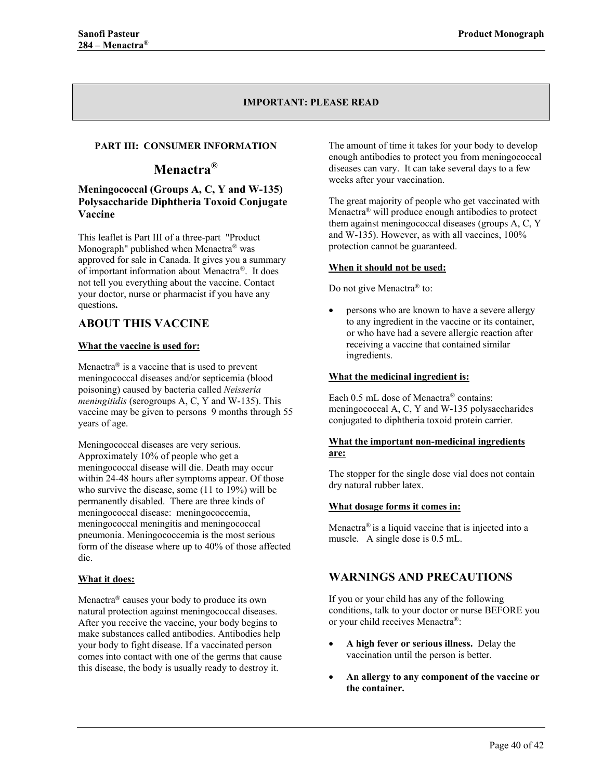#### **IMPORTANT: PLEASE READ**

#### <span id="page-39-0"></span>**PART III: CONSUMER INFORMATION**

# **Menactra®**

#### **Meningococcal (Groups A, C, Y and W-135) Polysaccharide Diphtheria Toxoid Conjugate Vaccine**

This leaflet is Part III of a three-part "Product Monograph" published when Menactra® was approved for sale in Canada. It gives you a summary of important information about Menactra®. It does not tell you everything about the vaccine. Contact your doctor, nurse or pharmacist if you have any questions**.** 

### <span id="page-39-1"></span>**ABOUT THIS VACCINE**

#### **What the vaccine is used for:**

Menactra® is a vaccine that is used to prevent meningococcal diseases and/or septicemia (blood poisoning) caused by bacteria called *Neisseria meningitidis* (serogroups A, C, Y and W-135). This vaccine may be given to persons 9 months through 55 years of age.

Meningococcal diseases are very serious. Approximately 10% of people who get a meningococcal disease will die. Death may occur within 24-48 hours after symptoms appear. Of those who survive the disease, some (11 to 19%) will be permanently disabled. There are three kinds of meningococcal disease: meningococcemia, meningococcal meningitis and meningococcal pneumonia. Meningococcemia is the most serious form of the disease where up to 40% of those affected die.

#### **What it does:**

Menactra® causes your body to produce its own natural protection against meningococcal diseases. After you receive the vaccine, your body begins to make substances called antibodies. Antibodies help your body to fight disease. If a vaccinated person comes into contact with one of the germs that cause this disease, the body is usually ready to destroy it.

The amount of time it takes for your body to develop enough antibodies to protect you from meningococcal diseases can vary. It can take several days to a few weeks after your vaccination.

The great majority of people who get vaccinated with Menactra® will produce enough antibodies to protect them against meningococcal diseases (groups A, C, Y and W-135). However, as with all vaccines, 100% protection cannot be guaranteed.

#### **When it should not be used:**

Do not give Menactra<sup>®</sup> to:

• persons who are known to have a severe allergy to any ingredient in the vaccine or its container, or who have had a severe allergic reaction after receiving a vaccine that contained similar ingredients.

#### **What the medicinal ingredient is:**

Each 0.5 mL dose of Menactra<sup>®</sup> contains: meningococcal A, C, Y and W-135 polysaccharides conjugated to diphtheria toxoid protein carrier.

#### **What the important non-medicinal ingredients are:**

The stopper for the single dose vial does not contain dry natural rubber latex.

#### **What dosage forms it comes in:**

Menactra<sup>®</sup> is a liquid vaccine that is injected into a muscle. A single dose is 0.5 mL.

### <span id="page-39-2"></span>**WARNINGS AND PRECAUTIONS**

If you or your child has any of the following conditions, talk to your doctor or nurse BEFORE you or your child receives Menactra®:

- **A high fever or serious illness.** Delay the vaccination until the person is better.
- **An allergy to any component of the vaccine or the container.**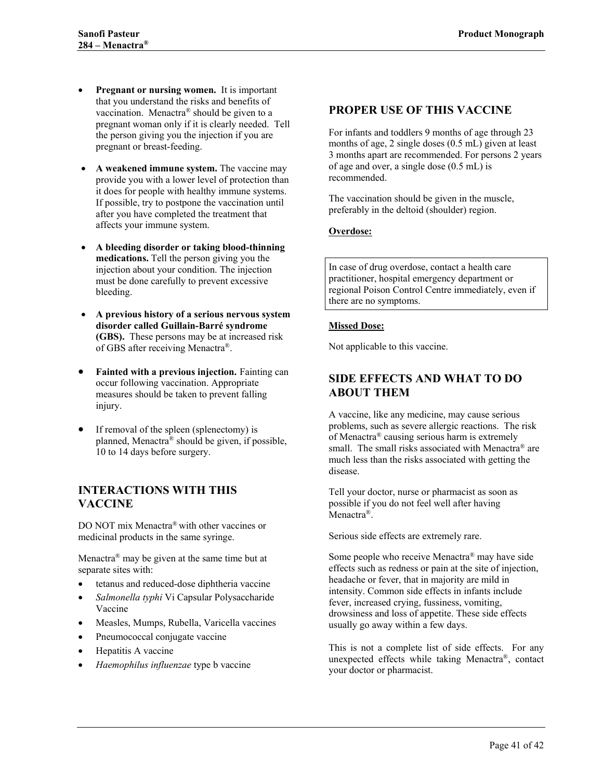- **Pregnant or nursing women.** It is important that you understand the risks and benefits of vaccination. Menactra® should be given to a pregnant woman only if it is clearly needed. Tell the person giving you the injection if you are pregnant or breast-feeding.
- **A weakened immune system.** The vaccine may provide you with a lower level of protection than it does for people with healthy immune systems. If possible, try to postpone the vaccination until after you have completed the treatment that affects your immune system.
- **A bleeding disorder or taking blood-thinning medications.** Tell the person giving you the injection about your condition. The injection must be done carefully to prevent excessive bleeding.
- **A previous history of a serious nervous system disorder called Guillain-Barré syndrome (GBS).** These persons may be at increased risk of GBS after receiving Menactra®.
- **Fainted with a previous injection.** Fainting can occur following vaccination. Appropriate measures should be taken to prevent falling injury.
- If removal of the spleen (splenectomy) is planned, Menactra® should be given, if possible, 10 to 14 days before surgery.

#### <span id="page-40-0"></span>**INTERACTIONS WITH THIS VACCINE**

DO NOT mix Menactra® with other vaccines or medicinal products in the same syringe.

Menactra<sup>®</sup> may be given at the same time but at separate sites with:

- tetanus and reduced-dose diphtheria vaccine
- *Salmonella typhi* Vi Capsular Polysaccharide Vaccine
- Measles, Mumps, Rubella, Varicella vaccines
- Pneumococcal conjugate vaccine
- Hepatitis A vaccine
- *Haemophilus influenzae* type b vaccine

### <span id="page-40-1"></span>**PROPER USE OF THIS VACCINE**

For infants and toddlers 9 months of age through 23 months of age, 2 single doses (0.5 mL) given at least 3 months apart are recommended. For persons 2 years of age and over, a single dose (0.5 mL) is recommended.

The vaccination should be given in the muscle, preferably in the deltoid (shoulder) region.

#### **Overdose:**

In case of drug overdose, contact a health care practitioner, hospital emergency department or regional Poison Control Centre immediately, even if there are no symptoms.

#### **Missed Dose:**

Not applicable to this vaccine.

### <span id="page-40-2"></span>**SIDE EFFECTS AND WHAT TO DO ABOUT THEM**

A vaccine, like any medicine, may cause serious problems, such as severe allergic reactions. The risk of Menactra® causing serious harm is extremely small. The small risks associated with Menactra® are much less than the risks associated with getting the disease.

Tell your doctor, nurse or pharmacist as soon as possible if you do not feel well after having Menactra<sup>®</sup>.

Serious side effects are extremely rare.

Some people who receive Menactra® may have side effects such as redness or pain at the site of injection, headache or fever, that in majority are mild in intensity. Common side effects in infants include fever, increased crying, fussiness, vomiting, drowsiness and loss of appetite. These side effects usually go away within a few days.

This is not a complete list of side effects. For any unexpected effects while taking Menactra®, contact your doctor or pharmacist.